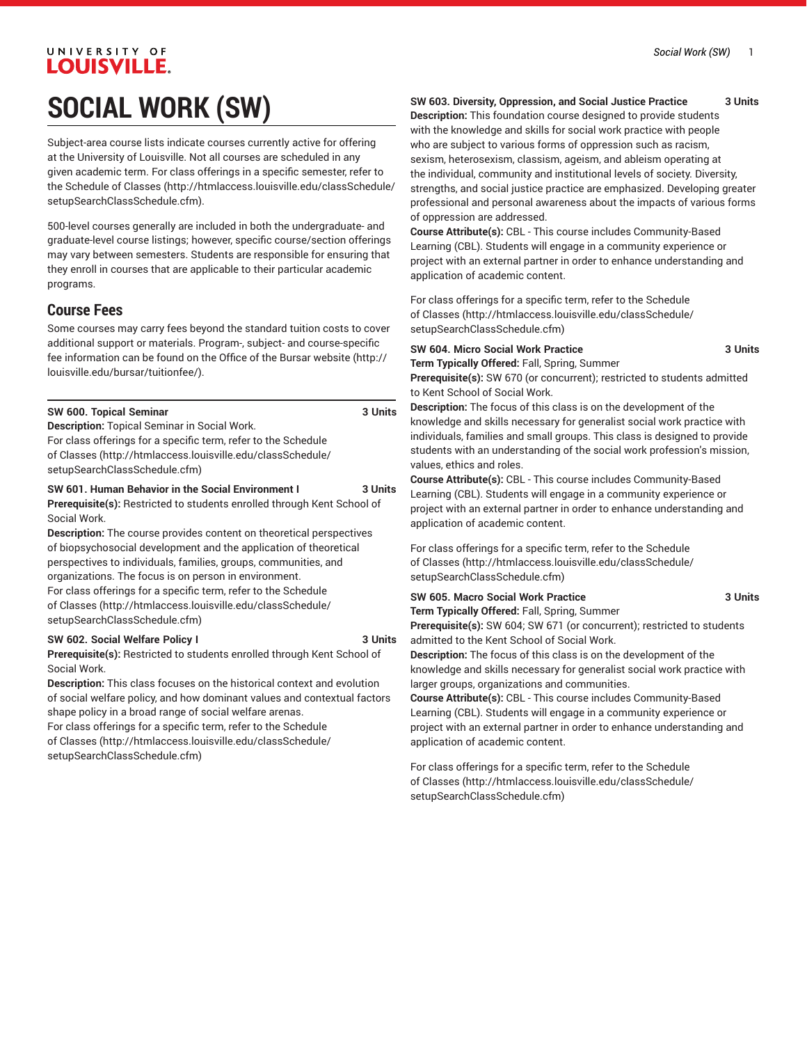# **LOUISVILLE. SOCIAL WORK (SW)**

UNIVERSITY OF

Subject-area course lists indicate courses currently active for offering at the University of Louisville. Not all courses are scheduled in any given academic term. For class offerings in a specific semester, refer to the [Schedule of Classes](http://htmlaccess.louisville.edu/classSchedule/setupSearchClassSchedule.cfm) ([http://htmlaccess.louisville.edu/classSchedule/](http://htmlaccess.louisville.edu/classSchedule/setupSearchClassSchedule.cfm) [setupSearchClassSchedule.cfm\)](http://htmlaccess.louisville.edu/classSchedule/setupSearchClassSchedule.cfm).

500-level courses generally are included in both the undergraduate- and graduate-level course listings; however, specific course/section offerings may vary between semesters. Students are responsible for ensuring that they enroll in courses that are applicable to their particular academic programs.

## **Course Fees**

Some courses may carry fees beyond the standard tuition costs to cover additional support or materials. Program-, subject- and course-specific fee information can be found on the [Office of the Bursar website](http://louisville.edu/bursar/tuitionfee/) ([http://](http://louisville.edu/bursar/tuitionfee/) [louisville.edu/bursar/tuitionfee/](http://louisville.edu/bursar/tuitionfee/)).

| SW 600. Topical Seminar | 3 Units |
|-------------------------|---------|
|-------------------------|---------|

**Description:** Topical Seminar in Social Work.

For class offerings for a specific term, refer to the [Schedule](http://htmlaccess.louisville.edu/classSchedule/setupSearchClassSchedule.cfm) [of Classes \(http://htmlaccess.louisville.edu/classSchedule/](http://htmlaccess.louisville.edu/classSchedule/setupSearchClassSchedule.cfm) [setupSearchClassSchedule.cfm\)](http://htmlaccess.louisville.edu/classSchedule/setupSearchClassSchedule.cfm)

## **SW 601. Human Behavior in the Social Environment I 3 Units**

**Prerequisite(s):** Restricted to students enrolled through Kent School of Social Work.

**Description:** The course provides content on theoretical perspectives of biopsychosocial development and the application of theoretical perspectives to individuals, families, groups, communities, and organizations. The focus is on person in environment.

For class offerings for a specific term, refer to the [Schedule](http://htmlaccess.louisville.edu/classSchedule/setupSearchClassSchedule.cfm) [of Classes \(http://htmlaccess.louisville.edu/classSchedule/](http://htmlaccess.louisville.edu/classSchedule/setupSearchClassSchedule.cfm) [setupSearchClassSchedule.cfm\)](http://htmlaccess.louisville.edu/classSchedule/setupSearchClassSchedule.cfm)

## **SW 602. Social Welfare Policy I 3 Units**

**Prerequisite(s):** Restricted to students enrolled through Kent School of Social Work.

**Description:** This class focuses on the historical context and evolution of social welfare policy, and how dominant values and contextual factors shape policy in a broad range of social welfare arenas.

For class offerings for a specific term, refer to the [Schedule](http://htmlaccess.louisville.edu/classSchedule/setupSearchClassSchedule.cfm) [of Classes \(http://htmlaccess.louisville.edu/classSchedule/](http://htmlaccess.louisville.edu/classSchedule/setupSearchClassSchedule.cfm) [setupSearchClassSchedule.cfm\)](http://htmlaccess.louisville.edu/classSchedule/setupSearchClassSchedule.cfm)

## **SW 603. Diversity, Oppression, and Social Justice Practice 3 Units**

**Description:** This foundation course designed to provide students with the knowledge and skills for social work practice with people who are subject to various forms of oppression such as racism, sexism, heterosexism, classism, ageism, and ableism operating at the individual, community and institutional levels of society. Diversity, strengths, and social justice practice are emphasized. Developing greater professional and personal awareness about the impacts of various forms of oppression are addressed.

**Course Attribute(s):** CBL - This course includes Community-Based Learning (CBL). Students will engage in a community experience or project with an external partner in order to enhance understanding and application of academic content.

For class offerings for a specific term, refer to the [Schedule](http://htmlaccess.louisville.edu/classSchedule/setupSearchClassSchedule.cfm) [of Classes](http://htmlaccess.louisville.edu/classSchedule/setupSearchClassSchedule.cfm) ([http://htmlaccess.louisville.edu/classSchedule/](http://htmlaccess.louisville.edu/classSchedule/setupSearchClassSchedule.cfm) [setupSearchClassSchedule.cfm\)](http://htmlaccess.louisville.edu/classSchedule/setupSearchClassSchedule.cfm)

## **SW 604. Micro Social Work Practice 3 Units**

**Term Typically Offered:** Fall, Spring, Summer **Prerequisite(s):** SW 670 (or concurrent); restricted to students admitted to Kent School of Social Work.

**Description:** The focus of this class is on the development of the knowledge and skills necessary for generalist social work practice with individuals, families and small groups. This class is designed to provide students with an understanding of the social work profession's mission, values, ethics and roles.

**Course Attribute(s):** CBL - This course includes Community-Based Learning (CBL). Students will engage in a community experience or project with an external partner in order to enhance understanding and application of academic content.

For class offerings for a specific term, refer to the [Schedule](http://htmlaccess.louisville.edu/classSchedule/setupSearchClassSchedule.cfm) [of Classes](http://htmlaccess.louisville.edu/classSchedule/setupSearchClassSchedule.cfm) ([http://htmlaccess.louisville.edu/classSchedule/](http://htmlaccess.louisville.edu/classSchedule/setupSearchClassSchedule.cfm) [setupSearchClassSchedule.cfm\)](http://htmlaccess.louisville.edu/classSchedule/setupSearchClassSchedule.cfm)

## **SW 605. Macro Social Work Practice 3 Units**

**Term Typically Offered:** Fall, Spring, Summer

**Prerequisite(s):** SW 604; SW 671 (or concurrent); restricted to students admitted to the Kent School of Social Work.

**Description:** The focus of this class is on the development of the knowledge and skills necessary for generalist social work practice with larger groups, organizations and communities.

**Course Attribute(s):** CBL - This course includes Community-Based Learning (CBL). Students will engage in a community experience or project with an external partner in order to enhance understanding and application of academic content.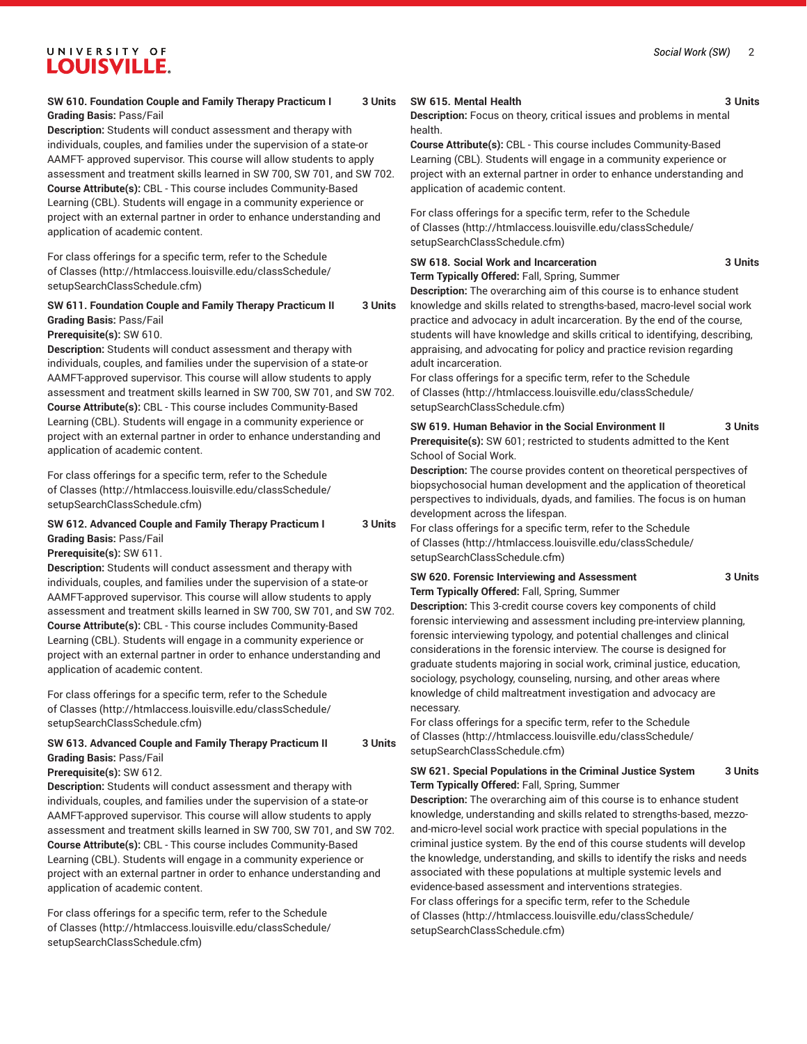## **SW 610. Foundation Couple and Family Therapy Practicum I 3 Units Grading Basis:** Pass/Fail

**Description:** Students will conduct assessment and therapy with individuals, couples, and families under the supervision of a state-or AAMFT- approved supervisor. This course will allow students to apply assessment and treatment skills learned in SW 700, SW 701, and SW 702. **Course Attribute(s):** CBL - This course includes Community-Based Learning (CBL). Students will engage in a community experience or project with an external partner in order to enhance understanding and application of academic content.

For class offerings for a specific term, refer to the [Schedule](http://htmlaccess.louisville.edu/classSchedule/setupSearchClassSchedule.cfm) [of Classes \(http://htmlaccess.louisville.edu/classSchedule/](http://htmlaccess.louisville.edu/classSchedule/setupSearchClassSchedule.cfm) [setupSearchClassSchedule.cfm\)](http://htmlaccess.louisville.edu/classSchedule/setupSearchClassSchedule.cfm)

## **SW 611. Foundation Couple and Family Therapy Practicum II 3 Units Grading Basis:** Pass/Fail

## **Prerequisite(s):** SW 610.

**Description:** Students will conduct assessment and therapy with individuals, couples, and families under the supervision of a state-or AAMFT-approved supervisor. This course will allow students to apply assessment and treatment skills learned in SW 700, SW 701, and SW 702. **Course Attribute(s):** CBL - This course includes Community-Based Learning (CBL). Students will engage in a community experience or project with an external partner in order to enhance understanding and application of academic content.

For class offerings for a specific term, refer to the [Schedule](http://htmlaccess.louisville.edu/classSchedule/setupSearchClassSchedule.cfm) [of Classes \(http://htmlaccess.louisville.edu/classSchedule/](http://htmlaccess.louisville.edu/classSchedule/setupSearchClassSchedule.cfm) [setupSearchClassSchedule.cfm\)](http://htmlaccess.louisville.edu/classSchedule/setupSearchClassSchedule.cfm)

## **SW 612. Advanced Couple and Family Therapy Practicum I 3 Units Grading Basis:** Pass/Fail

**Prerequisite(s):** SW 611.

**Description:** Students will conduct assessment and therapy with individuals, couples, and families under the supervision of a state-or AAMFT-approved supervisor. This course will allow students to apply assessment and treatment skills learned in SW 700, SW 701, and SW 702. **Course Attribute(s):** CBL - This course includes Community-Based Learning (CBL). Students will engage in a community experience or project with an external partner in order to enhance understanding and application of academic content.

For class offerings for a specific term, refer to the [Schedule](http://htmlaccess.louisville.edu/classSchedule/setupSearchClassSchedule.cfm) [of Classes \(http://htmlaccess.louisville.edu/classSchedule/](http://htmlaccess.louisville.edu/classSchedule/setupSearchClassSchedule.cfm) [setupSearchClassSchedule.cfm\)](http://htmlaccess.louisville.edu/classSchedule/setupSearchClassSchedule.cfm)

## **SW 613. Advanced Couple and Family Therapy Practicum II 3 Units Grading Basis:** Pass/Fail

**Prerequisite(s):** SW 612.

**Description:** Students will conduct assessment and therapy with individuals, couples, and families under the supervision of a state-or AAMFT-approved supervisor. This course will allow students to apply assessment and treatment skills learned in SW 700, SW 701, and SW 702. **Course Attribute(s):** CBL - This course includes Community-Based Learning (CBL). Students will engage in a community experience or project with an external partner in order to enhance understanding and application of academic content.

For class offerings for a specific term, refer to the [Schedule](http://htmlaccess.louisville.edu/classSchedule/setupSearchClassSchedule.cfm) [of Classes \(http://htmlaccess.louisville.edu/classSchedule/](http://htmlaccess.louisville.edu/classSchedule/setupSearchClassSchedule.cfm) [setupSearchClassSchedule.cfm\)](http://htmlaccess.louisville.edu/classSchedule/setupSearchClassSchedule.cfm)

## **SW 615. Mental Health 3 Units**

**Description:** Focus on theory, critical issues and problems in mental health.

**Course Attribute(s):** CBL - This course includes Community-Based Learning (CBL). Students will engage in a community experience or project with an external partner in order to enhance understanding and application of academic content.

For class offerings for a specific term, refer to the [Schedule](http://htmlaccess.louisville.edu/classSchedule/setupSearchClassSchedule.cfm) [of Classes](http://htmlaccess.louisville.edu/classSchedule/setupSearchClassSchedule.cfm) ([http://htmlaccess.louisville.edu/classSchedule/](http://htmlaccess.louisville.edu/classSchedule/setupSearchClassSchedule.cfm) [setupSearchClassSchedule.cfm\)](http://htmlaccess.louisville.edu/classSchedule/setupSearchClassSchedule.cfm)

## **SW 618. Social Work and Incarceration 3 Units Term Typically Offered:** Fall, Spring, Summer

**Description:** The overarching aim of this course is to enhance student knowledge and skills related to strengths-based, macro-level social work practice and advocacy in adult incarceration. By the end of the course, students will have knowledge and skills critical to identifying, describing, appraising, and advocating for policy and practice revision regarding adult incarceration.

For class offerings for a specific term, refer to the [Schedule](http://htmlaccess.louisville.edu/classSchedule/setupSearchClassSchedule.cfm) [of Classes](http://htmlaccess.louisville.edu/classSchedule/setupSearchClassSchedule.cfm) ([http://htmlaccess.louisville.edu/classSchedule/](http://htmlaccess.louisville.edu/classSchedule/setupSearchClassSchedule.cfm) [setupSearchClassSchedule.cfm\)](http://htmlaccess.louisville.edu/classSchedule/setupSearchClassSchedule.cfm)

**SW 619. Human Behavior in the Social Environment II 3 Units Prerequisite(s):** SW 601; restricted to students admitted to the Kent School of Social Work.

**Description:** The course provides content on theoretical perspectives of biopsychosocial human development and the application of theoretical perspectives to individuals, dyads, and families. The focus is on human development across the lifespan.

For class offerings for a specific term, refer to the [Schedule](http://htmlaccess.louisville.edu/classSchedule/setupSearchClassSchedule.cfm) [of Classes](http://htmlaccess.louisville.edu/classSchedule/setupSearchClassSchedule.cfm) ([http://htmlaccess.louisville.edu/classSchedule/](http://htmlaccess.louisville.edu/classSchedule/setupSearchClassSchedule.cfm) [setupSearchClassSchedule.cfm\)](http://htmlaccess.louisville.edu/classSchedule/setupSearchClassSchedule.cfm)

### **SW 620. Forensic Interviewing and Assessment 3 Units Term Typically Offered:** Fall, Spring, Summer

**Description:** This 3-credit course covers key components of child forensic interviewing and assessment including pre-interview planning, forensic interviewing typology, and potential challenges and clinical considerations in the forensic interview. The course is designed for graduate students majoring in social work, criminal justice, education, sociology, psychology, counseling, nursing, and other areas where knowledge of child maltreatment investigation and advocacy are necessary.

For class offerings for a specific term, refer to the [Schedule](http://htmlaccess.louisville.edu/classSchedule/setupSearchClassSchedule.cfm) [of Classes](http://htmlaccess.louisville.edu/classSchedule/setupSearchClassSchedule.cfm) ([http://htmlaccess.louisville.edu/classSchedule/](http://htmlaccess.louisville.edu/classSchedule/setupSearchClassSchedule.cfm) [setupSearchClassSchedule.cfm\)](http://htmlaccess.louisville.edu/classSchedule/setupSearchClassSchedule.cfm)

## **SW 621. Special Populations in the Criminal Justice System 3 Units Term Typically Offered:** Fall, Spring, Summer

**Description:** The overarching aim of this course is to enhance student knowledge, understanding and skills related to strengths-based, mezzoand-micro-level social work practice with special populations in the criminal justice system. By the end of this course students will develop the knowledge, understanding, and skills to identify the risks and needs associated with these populations at multiple systemic levels and evidence-based assessment and interventions strategies. For class offerings for a specific term, refer to the [Schedule](http://htmlaccess.louisville.edu/classSchedule/setupSearchClassSchedule.cfm) [of Classes](http://htmlaccess.louisville.edu/classSchedule/setupSearchClassSchedule.cfm) ([http://htmlaccess.louisville.edu/classSchedule/](http://htmlaccess.louisville.edu/classSchedule/setupSearchClassSchedule.cfm) [setupSearchClassSchedule.cfm\)](http://htmlaccess.louisville.edu/classSchedule/setupSearchClassSchedule.cfm)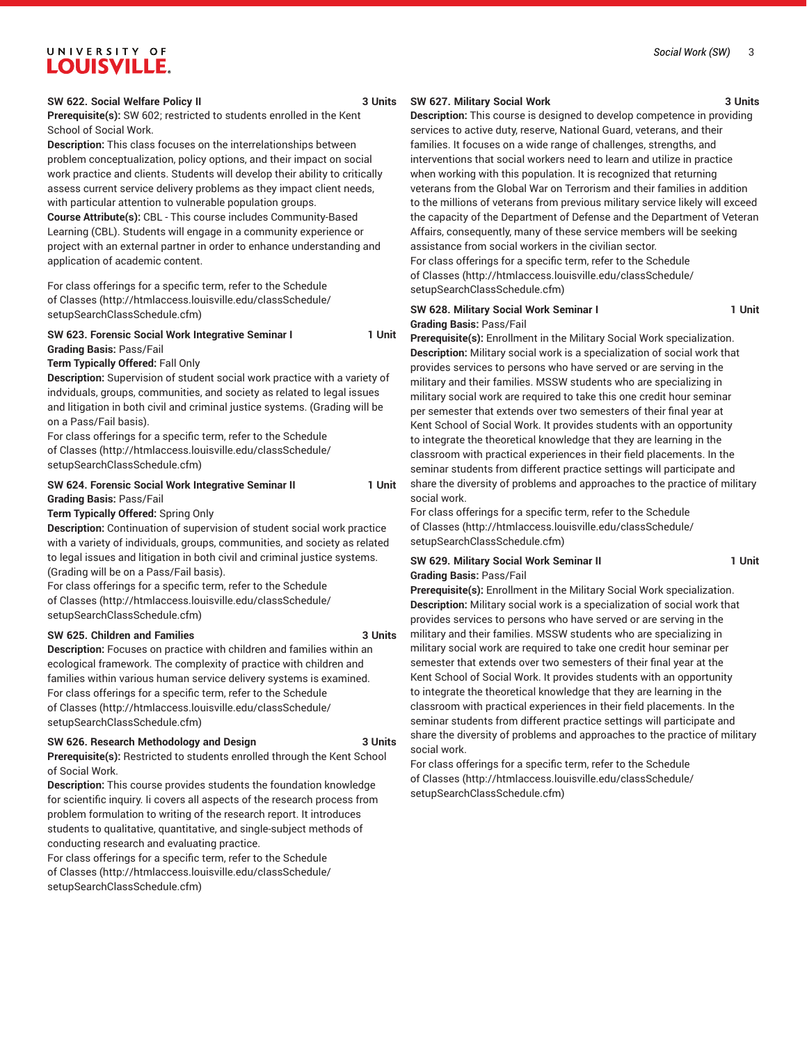## **SW 622. Social Welfare Policy II 3 Units**

**Prerequisite(s):** SW 602; restricted to students enrolled in the Kent School of Social Work.

**Description:** This class focuses on the interrelationships between problem conceptualization, policy options, and their impact on social work practice and clients. Students will develop their ability to critically assess current service delivery problems as they impact client needs, with particular attention to vulnerable population groups.

**Course Attribute(s):** CBL - This course includes Community-Based Learning (CBL). Students will engage in a community experience or project with an external partner in order to enhance understanding and application of academic content.

For class offerings for a specific term, refer to the [Schedule](http://htmlaccess.louisville.edu/classSchedule/setupSearchClassSchedule.cfm) [of Classes \(http://htmlaccess.louisville.edu/classSchedule/](http://htmlaccess.louisville.edu/classSchedule/setupSearchClassSchedule.cfm) [setupSearchClassSchedule.cfm\)](http://htmlaccess.louisville.edu/classSchedule/setupSearchClassSchedule.cfm)

## **SW 623. Forensic Social Work Integrative Seminar I 1 Unit Grading Basis:** Pass/Fail

**Term Typically Offered:** Fall Only

**Description:** Supervision of student social work practice with a variety of indviduals, groups, communities, and society as related to legal issues and litigation in both civil and criminal justice systems. (Grading will be on a Pass/Fail basis).

For class offerings for a specific term, refer to the [Schedule](http://htmlaccess.louisville.edu/classSchedule/setupSearchClassSchedule.cfm) [of Classes \(http://htmlaccess.louisville.edu/classSchedule/](http://htmlaccess.louisville.edu/classSchedule/setupSearchClassSchedule.cfm) [setupSearchClassSchedule.cfm\)](http://htmlaccess.louisville.edu/classSchedule/setupSearchClassSchedule.cfm)

## **SW 624. Forensic Social Work Integrative Seminar II 1 Unit Grading Basis:** Pass/Fail

### **Term Typically Offered:** Spring Only

**Description:** Continuation of supervision of student social work practice with a variety of individuals, groups, communities, and society as related to legal issues and litigation in both civil and criminal justice systems. (Grading will be on a Pass/Fail basis).

For class offerings for a specific term, refer to the [Schedule](http://htmlaccess.louisville.edu/classSchedule/setupSearchClassSchedule.cfm) [of Classes \(http://htmlaccess.louisville.edu/classSchedule/](http://htmlaccess.louisville.edu/classSchedule/setupSearchClassSchedule.cfm) [setupSearchClassSchedule.cfm\)](http://htmlaccess.louisville.edu/classSchedule/setupSearchClassSchedule.cfm)

#### **SW 625. Children and Families 3 Units**

**Description:** Focuses on practice with children and families within an ecological framework. The complexity of practice with children and families within various human service delivery systems is examined. For class offerings for a specific term, refer to the [Schedule](http://htmlaccess.louisville.edu/classSchedule/setupSearchClassSchedule.cfm) [of Classes \(http://htmlaccess.louisville.edu/classSchedule/](http://htmlaccess.louisville.edu/classSchedule/setupSearchClassSchedule.cfm) [setupSearchClassSchedule.cfm\)](http://htmlaccess.louisville.edu/classSchedule/setupSearchClassSchedule.cfm)

## **SW 626. Research Methodology and Design 3 Units**

**Prerequisite(s):** Restricted to students enrolled through the Kent School of Social Work.

**Description:** This course provides students the foundation knowledge for scientific inquiry. Ii covers all aspects of the research process from problem formulation to writing of the research report. It introduces students to qualitative, quantitative, and single-subject methods of conducting research and evaluating practice.

For class offerings for a specific term, refer to the [Schedule](http://htmlaccess.louisville.edu/classSchedule/setupSearchClassSchedule.cfm) [of Classes \(http://htmlaccess.louisville.edu/classSchedule/](http://htmlaccess.louisville.edu/classSchedule/setupSearchClassSchedule.cfm) [setupSearchClassSchedule.cfm\)](http://htmlaccess.louisville.edu/classSchedule/setupSearchClassSchedule.cfm)

## **SW 627. Military Social Work 3 Units**

**Description:** This course is designed to develop competence in providing services to active duty, reserve, National Guard, veterans, and their families. It focuses on a wide range of challenges, strengths, and interventions that social workers need to learn and utilize in practice when working with this population. It is recognized that returning veterans from the Global War on Terrorism and their families in addition to the millions of veterans from previous military service likely will exceed the capacity of the Department of Defense and the Department of Veteran Affairs, consequently, many of these service members will be seeking assistance from social workers in the civilian sector. For class offerings for a specific term, refer to the [Schedule](http://htmlaccess.louisville.edu/classSchedule/setupSearchClassSchedule.cfm) [of Classes](http://htmlaccess.louisville.edu/classSchedule/setupSearchClassSchedule.cfm) ([http://htmlaccess.louisville.edu/classSchedule/](http://htmlaccess.louisville.edu/classSchedule/setupSearchClassSchedule.cfm) [setupSearchClassSchedule.cfm\)](http://htmlaccess.louisville.edu/classSchedule/setupSearchClassSchedule.cfm)

## **SW 628. Military Social Work Seminar I 1 Unit Grading Basis:** Pass/Fail

**Prerequisite(s):** Enrollment in the Military Social Work specialization. **Description:** Military social work is a specialization of social work that provides services to persons who have served or are serving in the military and their families. MSSW students who are specializing in military social work are required to take this one credit hour seminar per semester that extends over two semesters of their final year at Kent School of Social Work. It provides students with an opportunity to integrate the theoretical knowledge that they are learning in the classroom with practical experiences in their field placements. In the seminar students from different practice settings will participate and share the diversity of problems and approaches to the practice of military social work.

For class offerings for a specific term, refer to the [Schedule](http://htmlaccess.louisville.edu/classSchedule/setupSearchClassSchedule.cfm) [of Classes](http://htmlaccess.louisville.edu/classSchedule/setupSearchClassSchedule.cfm) ([http://htmlaccess.louisville.edu/classSchedule/](http://htmlaccess.louisville.edu/classSchedule/setupSearchClassSchedule.cfm) [setupSearchClassSchedule.cfm\)](http://htmlaccess.louisville.edu/classSchedule/setupSearchClassSchedule.cfm)

## **SW 629. Military Social Work Seminar II 1 Unit Grading Basis:** Pass/Fail

**Prerequisite(s):** Enrollment in the Military Social Work specialization. **Description:** Military social work is a specialization of social work that provides services to persons who have served or are serving in the military and their families. MSSW students who are specializing in military social work are required to take one credit hour seminar per semester that extends over two semesters of their final year at the Kent School of Social Work. It provides students with an opportunity to integrate the theoretical knowledge that they are learning in the classroom with practical experiences in their field placements. In the seminar students from different practice settings will participate and share the diversity of problems and approaches to the practice of military social work.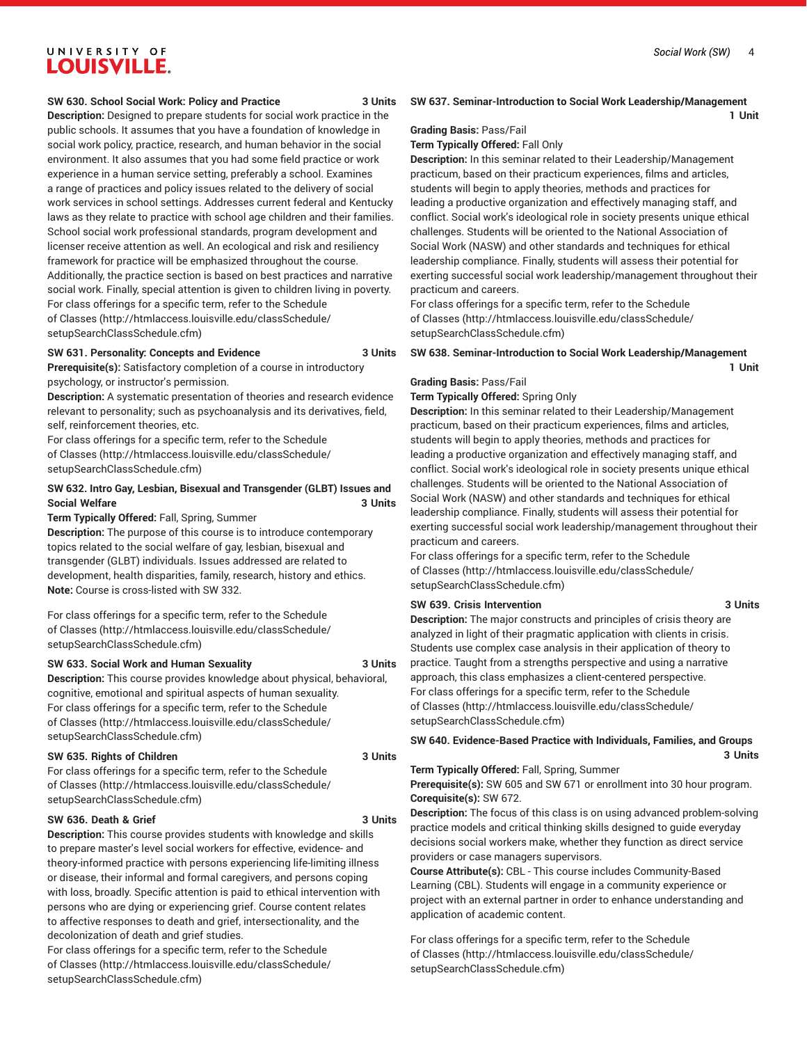**1 Unit**

### **SW 630. School Social Work: Policy and Practice 3 Units**

**Description:** Designed to prepare students for social work practice in the public schools. It assumes that you have a foundation of knowledge in social work policy, practice, research, and human behavior in the social environment. It also assumes that you had some field practice or work experience in a human service setting, preferably a school. Examines a range of practices and policy issues related to the delivery of social work services in school settings. Addresses current federal and Kentucky laws as they relate to practice with school age children and their families. School social work professional standards, program development and licenser receive attention as well. An ecological and risk and resiliency framework for practice will be emphasized throughout the course. Additionally, the practice section is based on best practices and narrative social work. Finally, special attention is given to children living in poverty. For class offerings for a specific term, refer to the [Schedule](http://htmlaccess.louisville.edu/classSchedule/setupSearchClassSchedule.cfm) [of Classes \(http://htmlaccess.louisville.edu/classSchedule/](http://htmlaccess.louisville.edu/classSchedule/setupSearchClassSchedule.cfm) [setupSearchClassSchedule.cfm\)](http://htmlaccess.louisville.edu/classSchedule/setupSearchClassSchedule.cfm)

## **SW 631. Personality: Concepts and Evidence 3 Units**

**Prerequisite(s):** Satisfactory completion of a course in introductory psychology, or instructor's permission.

**Description:** A systematic presentation of theories and research evidence relevant to personality; such as psychoanalysis and its derivatives, field, self, reinforcement theories, etc.

For class offerings for a specific term, refer to the [Schedule](http://htmlaccess.louisville.edu/classSchedule/setupSearchClassSchedule.cfm) [of Classes \(http://htmlaccess.louisville.edu/classSchedule/](http://htmlaccess.louisville.edu/classSchedule/setupSearchClassSchedule.cfm) [setupSearchClassSchedule.cfm\)](http://htmlaccess.louisville.edu/classSchedule/setupSearchClassSchedule.cfm)

## **SW 632. Intro Gay, Lesbian, Bisexual and Transgender (GLBT) Issues and Social Welfare 3 Units**

**Term Typically Offered:** Fall, Spring, Summer

**Description:** The purpose of this course is to introduce contemporary topics related to the social welfare of gay, lesbian, bisexual and transgender (GLBT) individuals. Issues addressed are related to development, health disparities, family, research, history and ethics. **Note:** Course is cross-listed with SW 332.

For class offerings for a specific term, refer to the [Schedule](http://htmlaccess.louisville.edu/classSchedule/setupSearchClassSchedule.cfm) [of Classes \(http://htmlaccess.louisville.edu/classSchedule/](http://htmlaccess.louisville.edu/classSchedule/setupSearchClassSchedule.cfm) [setupSearchClassSchedule.cfm\)](http://htmlaccess.louisville.edu/classSchedule/setupSearchClassSchedule.cfm)

#### **SW 633. Social Work and Human Sexuality 3 Units**

**Description:** This course provides knowledge about physical, behavioral, cognitive, emotional and spiritual aspects of human sexuality. For class offerings for a specific term, refer to the [Schedule](http://htmlaccess.louisville.edu/classSchedule/setupSearchClassSchedule.cfm) [of Classes \(http://htmlaccess.louisville.edu/classSchedule/](http://htmlaccess.louisville.edu/classSchedule/setupSearchClassSchedule.cfm) [setupSearchClassSchedule.cfm\)](http://htmlaccess.louisville.edu/classSchedule/setupSearchClassSchedule.cfm)

## **SW 635. Rights of Children** 3 Units

For class offerings for a specific term, refer to the [Schedule](http://htmlaccess.louisville.edu/classSchedule/setupSearchClassSchedule.cfm) [of Classes \(http://htmlaccess.louisville.edu/classSchedule/](http://htmlaccess.louisville.edu/classSchedule/setupSearchClassSchedule.cfm) [setupSearchClassSchedule.cfm\)](http://htmlaccess.louisville.edu/classSchedule/setupSearchClassSchedule.cfm)

## **SW 636. Death & Grief 3 Units**

**Description:** This course provides students with knowledge and skills to prepare master's level social workers for effective, evidence- and theory-informed practice with persons experiencing life-limiting illness or disease, their informal and formal caregivers, and persons coping with loss, broadly. Specific attention is paid to ethical intervention with persons who are dying or experiencing grief. Course content relates to affective responses to death and grief, intersectionality, and the decolonization of death and grief studies.

For class offerings for a specific term, refer to the [Schedule](http://htmlaccess.louisville.edu/classSchedule/setupSearchClassSchedule.cfm) [of Classes \(http://htmlaccess.louisville.edu/classSchedule/](http://htmlaccess.louisville.edu/classSchedule/setupSearchClassSchedule.cfm) [setupSearchClassSchedule.cfm\)](http://htmlaccess.louisville.edu/classSchedule/setupSearchClassSchedule.cfm)

## **Grading Basis:** Pass/Fail

**Term Typically Offered:** Fall Only

**Description:** In this seminar related to their Leadership/Management practicum, based on their practicum experiences, films and articles, students will begin to apply theories, methods and practices for leading a productive organization and effectively managing staff, and conflict. Social work's ideological role in society presents unique ethical challenges. Students will be oriented to the National Association of Social Work (NASW) and other standards and techniques for ethical leadership compliance. Finally, students will assess their potential for exerting successful social work leadership/management throughout their practicum and careers.

**SW 637. Seminar-Introduction to Social Work Leadership/Management**

For class offerings for a specific term, refer to the [Schedule](http://htmlaccess.louisville.edu/classSchedule/setupSearchClassSchedule.cfm) [of Classes](http://htmlaccess.louisville.edu/classSchedule/setupSearchClassSchedule.cfm) ([http://htmlaccess.louisville.edu/classSchedule/](http://htmlaccess.louisville.edu/classSchedule/setupSearchClassSchedule.cfm) [setupSearchClassSchedule.cfm\)](http://htmlaccess.louisville.edu/classSchedule/setupSearchClassSchedule.cfm)

## **SW 638. Seminar-Introduction to Social Work Leadership/Management**

## **1 Unit**

### **Grading Basis:** Pass/Fail **Term Typically Offered:** Spring Only

**Description:** In this seminar related to their Leadership/Management practicum, based on their practicum experiences, films and articles, students will begin to apply theories, methods and practices for leading a productive organization and effectively managing staff, and conflict. Social work's ideological role in society presents unique ethical challenges. Students will be oriented to the National Association of Social Work (NASW) and other standards and techniques for ethical leadership compliance. Finally, students will assess their potential for exerting successful social work leadership/management throughout their practicum and careers.

For class offerings for a specific term, refer to the [Schedule](http://htmlaccess.louisville.edu/classSchedule/setupSearchClassSchedule.cfm) [of Classes](http://htmlaccess.louisville.edu/classSchedule/setupSearchClassSchedule.cfm) ([http://htmlaccess.louisville.edu/classSchedule/](http://htmlaccess.louisville.edu/classSchedule/setupSearchClassSchedule.cfm) [setupSearchClassSchedule.cfm\)](http://htmlaccess.louisville.edu/classSchedule/setupSearchClassSchedule.cfm)

#### **SW 639. Crisis Intervention 3 Units**

**Description:** The major constructs and principles of crisis theory are analyzed in light of their pragmatic application with clients in crisis. Students use complex case analysis in their application of theory to practice. Taught from a strengths perspective and using a narrative approach, this class emphasizes a client-centered perspective. For class offerings for a specific term, refer to the [Schedule](http://htmlaccess.louisville.edu/classSchedule/setupSearchClassSchedule.cfm) [of Classes](http://htmlaccess.louisville.edu/classSchedule/setupSearchClassSchedule.cfm) ([http://htmlaccess.louisville.edu/classSchedule/](http://htmlaccess.louisville.edu/classSchedule/setupSearchClassSchedule.cfm) [setupSearchClassSchedule.cfm\)](http://htmlaccess.louisville.edu/classSchedule/setupSearchClassSchedule.cfm)

**SW 640. Evidence-Based Practice with Individuals, Families, and Groups 3 Units**

**Term Typically Offered:** Fall, Spring, Summer

**Prerequisite(s):** SW 605 and SW 671 or enrollment into 30 hour program. **Corequisite(s):** SW 672.

**Description:** The focus of this class is on using advanced problem-solving practice models and critical thinking skills designed to guide everyday decisions social workers make, whether they function as direct service providers or case managers supervisors.

**Course Attribute(s):** CBL - This course includes Community-Based Learning (CBL). Students will engage in a community experience or project with an external partner in order to enhance understanding and application of academic content.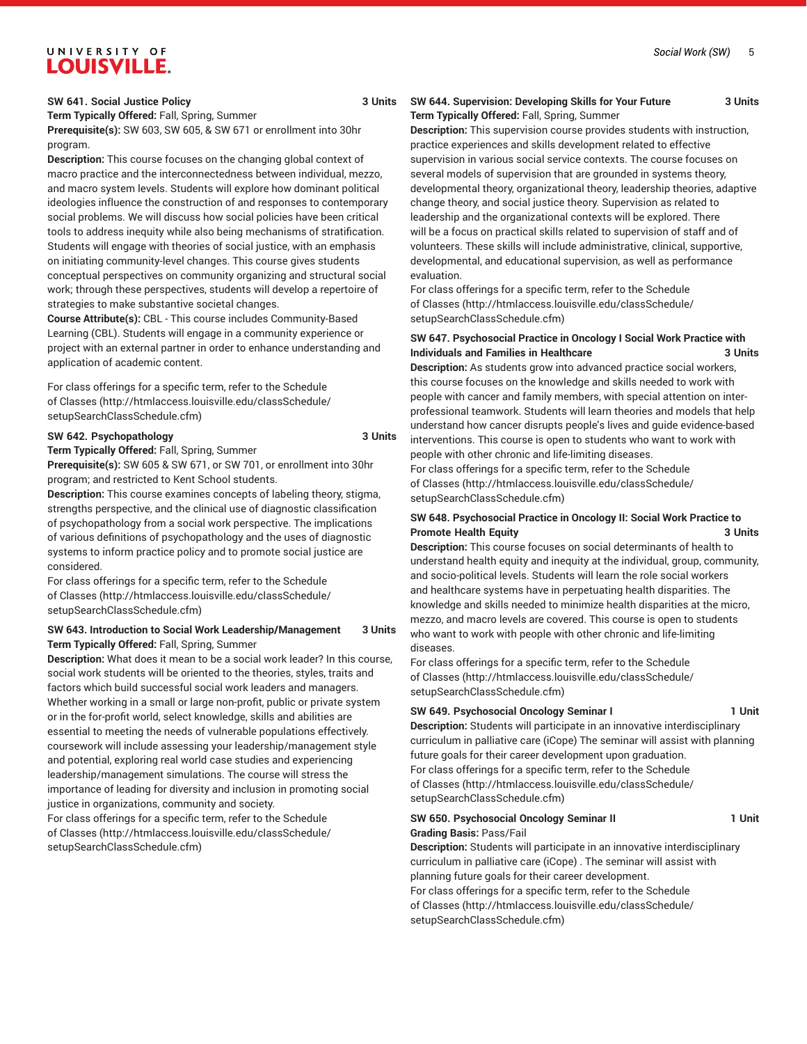## **SW 641. Social Justice Policy 3 Units**

**Term Typically Offered:** Fall, Spring, Summer **Prerequisite(s):** SW 603, SW 605, & SW 671 or enrollment into 30hr program.

**Description:** This course focuses on the changing global context of macro practice and the interconnectedness between individual, mezzo, and macro system levels. Students will explore how dominant political ideologies influence the construction of and responses to contemporary social problems. We will discuss how social policies have been critical tools to address inequity while also being mechanisms of stratification. Students will engage with theories of social justice, with an emphasis on initiating community-level changes. This course gives students conceptual perspectives on community organizing and structural social work; through these perspectives, students will develop a repertoire of strategies to make substantive societal changes.

**Course Attribute(s):** CBL - This course includes Community-Based Learning (CBL). Students will engage in a community experience or project with an external partner in order to enhance understanding and application of academic content.

For class offerings for a specific term, refer to the [Schedule](http://htmlaccess.louisville.edu/classSchedule/setupSearchClassSchedule.cfm) [of Classes \(http://htmlaccess.louisville.edu/classSchedule/](http://htmlaccess.louisville.edu/classSchedule/setupSearchClassSchedule.cfm) [setupSearchClassSchedule.cfm\)](http://htmlaccess.louisville.edu/classSchedule/setupSearchClassSchedule.cfm)

## **SW 642. Psychopathology 3 Units**

**Term Typically Offered:** Fall, Spring, Summer **Prerequisite(s):** SW 605 & SW 671, or SW 701, or enrollment into 30hr program; and restricted to Kent School students.

**Description:** This course examines concepts of labeling theory, stigma, strengths perspective, and the clinical use of diagnostic classification of psychopathology from a social work perspective. The implications of various definitions of psychopathology and the uses of diagnostic systems to inform practice policy and to promote social justice are considered.

For class offerings for a specific term, refer to the [Schedule](http://htmlaccess.louisville.edu/classSchedule/setupSearchClassSchedule.cfm) [of Classes \(http://htmlaccess.louisville.edu/classSchedule/](http://htmlaccess.louisville.edu/classSchedule/setupSearchClassSchedule.cfm) [setupSearchClassSchedule.cfm\)](http://htmlaccess.louisville.edu/classSchedule/setupSearchClassSchedule.cfm)

## **SW 643. Introduction to Social Work Leadership/Management 3 Units Term Typically Offered:** Fall, Spring, Summer

**Description:** What does it mean to be a social work leader? In this course, social work students will be oriented to the theories, styles, traits and factors which build successful social work leaders and managers. Whether working in a small or large non-profit, public or private system or in the for-profit world, select knowledge, skills and abilities are essential to meeting the needs of vulnerable populations effectively. coursework will include assessing your leadership/management style and potential, exploring real world case studies and experiencing leadership/management simulations. The course will stress the importance of leading for diversity and inclusion in promoting social justice in organizations, community and society.

For class offerings for a specific term, refer to the [Schedule](http://htmlaccess.louisville.edu/classSchedule/setupSearchClassSchedule.cfm) [of Classes \(http://htmlaccess.louisville.edu/classSchedule/](http://htmlaccess.louisville.edu/classSchedule/setupSearchClassSchedule.cfm) [setupSearchClassSchedule.cfm\)](http://htmlaccess.louisville.edu/classSchedule/setupSearchClassSchedule.cfm)

## **SW 644. Supervision: Developing Skills for Your Future 3 Units Term Typically Offered:** Fall, Spring, Summer

**Description:** This supervision course provides students with instruction, practice experiences and skills development related to effective supervision in various social service contexts. The course focuses on several models of supervision that are grounded in systems theory, developmental theory, organizational theory, leadership theories, adaptive change theory, and social justice theory. Supervision as related to leadership and the organizational contexts will be explored. There will be a focus on practical skills related to supervision of staff and of volunteers. These skills will include administrative, clinical, supportive, developmental, and educational supervision, as well as performance evaluation.

For class offerings for a specific term, refer to the [Schedule](http://htmlaccess.louisville.edu/classSchedule/setupSearchClassSchedule.cfm) [of Classes](http://htmlaccess.louisville.edu/classSchedule/setupSearchClassSchedule.cfm) ([http://htmlaccess.louisville.edu/classSchedule/](http://htmlaccess.louisville.edu/classSchedule/setupSearchClassSchedule.cfm) [setupSearchClassSchedule.cfm\)](http://htmlaccess.louisville.edu/classSchedule/setupSearchClassSchedule.cfm)

## **SW 647. Psychosocial Practice in Oncology I Social Work Practice with Individuals and Families in Healthcare 3 Units**

**Description:** As students grow into advanced practice social workers, this course focuses on the knowledge and skills needed to work with people with cancer and family members, with special attention on interprofessional teamwork. Students will learn theories and models that help understand how cancer disrupts people's lives and guide evidence-based interventions. This course is open to students who want to work with people with other chronic and life-limiting diseases. For class offerings for a specific term, refer to the [Schedule](http://htmlaccess.louisville.edu/classSchedule/setupSearchClassSchedule.cfm) [of Classes](http://htmlaccess.louisville.edu/classSchedule/setupSearchClassSchedule.cfm) ([http://htmlaccess.louisville.edu/classSchedule/](http://htmlaccess.louisville.edu/classSchedule/setupSearchClassSchedule.cfm)

[setupSearchClassSchedule.cfm\)](http://htmlaccess.louisville.edu/classSchedule/setupSearchClassSchedule.cfm)

## **SW 648. Psychosocial Practice in Oncology II: Social Work Practice to Promote Health Equity 3 Units**

**Description:** This course focuses on social determinants of health to understand health equity and inequity at the individual, group, community, and socio-political levels. Students will learn the role social workers and healthcare systems have in perpetuating health disparities. The knowledge and skills needed to minimize health disparities at the micro, mezzo, and macro levels are covered. This course is open to students who want to work with people with other chronic and life-limiting diseases.

For class offerings for a specific term, refer to the [Schedule](http://htmlaccess.louisville.edu/classSchedule/setupSearchClassSchedule.cfm) [of Classes](http://htmlaccess.louisville.edu/classSchedule/setupSearchClassSchedule.cfm) ([http://htmlaccess.louisville.edu/classSchedule/](http://htmlaccess.louisville.edu/classSchedule/setupSearchClassSchedule.cfm) [setupSearchClassSchedule.cfm\)](http://htmlaccess.louisville.edu/classSchedule/setupSearchClassSchedule.cfm)

### **SW 649. Psychosocial Oncology Seminar I 1 Unit**

**Description:** Students will participate in an innovative interdisciplinary curriculum in palliative care (iCope) The seminar will assist with planning future goals for their career development upon graduation. For class offerings for a specific term, refer to the [Schedule](http://htmlaccess.louisville.edu/classSchedule/setupSearchClassSchedule.cfm) [of Classes](http://htmlaccess.louisville.edu/classSchedule/setupSearchClassSchedule.cfm) ([http://htmlaccess.louisville.edu/classSchedule/](http://htmlaccess.louisville.edu/classSchedule/setupSearchClassSchedule.cfm) [setupSearchClassSchedule.cfm\)](http://htmlaccess.louisville.edu/classSchedule/setupSearchClassSchedule.cfm)

## **SW 650. Psychosocial Oncology Seminar II 1 Unit Grading Basis:** Pass/Fail

**Description:** Students will participate in an innovative interdisciplinary curriculum in palliative care (iCope) . The seminar will assist with planning future goals for their career development.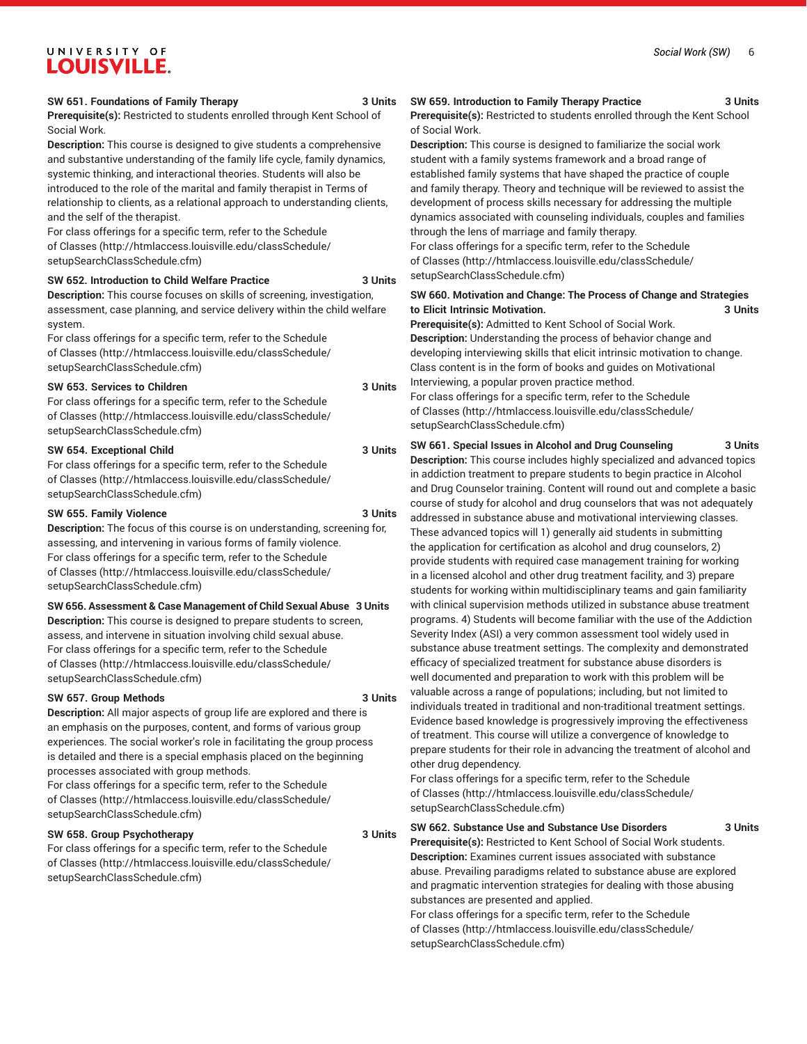### **SW 651. Foundations of Family Therapy 3 Units**

**Prerequisite(s):** Restricted to students enrolled through Kent School of Social Work.

**Description:** This course is designed to give students a comprehensive and substantive understanding of the family life cycle, family dynamics, systemic thinking, and interactional theories. Students will also be introduced to the role of the marital and family therapist in Terms of relationship to clients, as a relational approach to understanding clients, and the self of the therapist.

For class offerings for a specific term, refer to the [Schedule](http://htmlaccess.louisville.edu/classSchedule/setupSearchClassSchedule.cfm) [of Classes \(http://htmlaccess.louisville.edu/classSchedule/](http://htmlaccess.louisville.edu/classSchedule/setupSearchClassSchedule.cfm) [setupSearchClassSchedule.cfm\)](http://htmlaccess.louisville.edu/classSchedule/setupSearchClassSchedule.cfm)

## **SW 652. Introduction to Child Welfare Practice 3 Units**

**Description:** This course focuses on skills of screening, investigation, assessment, case planning, and service delivery within the child welfare system.

For class offerings for a specific term, refer to the [Schedule](http://htmlaccess.louisville.edu/classSchedule/setupSearchClassSchedule.cfm) [of Classes \(http://htmlaccess.louisville.edu/classSchedule/](http://htmlaccess.louisville.edu/classSchedule/setupSearchClassSchedule.cfm) [setupSearchClassSchedule.cfm\)](http://htmlaccess.louisville.edu/classSchedule/setupSearchClassSchedule.cfm)

### **SW 653. Services to Children 3 Units**

For class offerings for a specific term, refer to the [Schedule](http://htmlaccess.louisville.edu/classSchedule/setupSearchClassSchedule.cfm) [of Classes \(http://htmlaccess.louisville.edu/classSchedule/](http://htmlaccess.louisville.edu/classSchedule/setupSearchClassSchedule.cfm) [setupSearchClassSchedule.cfm\)](http://htmlaccess.louisville.edu/classSchedule/setupSearchClassSchedule.cfm)

## **SW 654. Exceptional Child 3 Units**

For class offerings for a specific term, refer to the [Schedule](http://htmlaccess.louisville.edu/classSchedule/setupSearchClassSchedule.cfm) [of Classes \(http://htmlaccess.louisville.edu/classSchedule/](http://htmlaccess.louisville.edu/classSchedule/setupSearchClassSchedule.cfm) [setupSearchClassSchedule.cfm\)](http://htmlaccess.louisville.edu/classSchedule/setupSearchClassSchedule.cfm)

### **SW 655. Family Violence 3 Units**

**Description:** The focus of this course is on understanding, screening for, assessing, and intervening in various forms of family violence. For class offerings for a specific term, refer to the [Schedule](http://htmlaccess.louisville.edu/classSchedule/setupSearchClassSchedule.cfm) [of Classes \(http://htmlaccess.louisville.edu/classSchedule/](http://htmlaccess.louisville.edu/classSchedule/setupSearchClassSchedule.cfm) [setupSearchClassSchedule.cfm\)](http://htmlaccess.louisville.edu/classSchedule/setupSearchClassSchedule.cfm)

## **SW 656. Assessment & Case Management of Child Sexual Abuse 3 Units**

**Description:** This course is designed to prepare students to screen, assess, and intervene in situation involving child sexual abuse. For class offerings for a specific term, refer to the [Schedule](http://htmlaccess.louisville.edu/classSchedule/setupSearchClassSchedule.cfm) [of Classes \(http://htmlaccess.louisville.edu/classSchedule/](http://htmlaccess.louisville.edu/classSchedule/setupSearchClassSchedule.cfm) [setupSearchClassSchedule.cfm\)](http://htmlaccess.louisville.edu/classSchedule/setupSearchClassSchedule.cfm)

## **SW 657. Group Methods 3 Units**

**Description:** All major aspects of group life are explored and there is an emphasis on the purposes, content, and forms of various group experiences. The social worker's role in facilitating the group process is detailed and there is a special emphasis placed on the beginning processes associated with group methods.

For class offerings for a specific term, refer to the [Schedule](http://htmlaccess.louisville.edu/classSchedule/setupSearchClassSchedule.cfm) [of Classes \(http://htmlaccess.louisville.edu/classSchedule/](http://htmlaccess.louisville.edu/classSchedule/setupSearchClassSchedule.cfm) [setupSearchClassSchedule.cfm\)](http://htmlaccess.louisville.edu/classSchedule/setupSearchClassSchedule.cfm)

## **SW 658. Group Psychotherapy 3 Units**

For class offerings for a specific term, refer to the [Schedule](http://htmlaccess.louisville.edu/classSchedule/setupSearchClassSchedule.cfm) [of Classes \(http://htmlaccess.louisville.edu/classSchedule/](http://htmlaccess.louisville.edu/classSchedule/setupSearchClassSchedule.cfm) [setupSearchClassSchedule.cfm\)](http://htmlaccess.louisville.edu/classSchedule/setupSearchClassSchedule.cfm)

## **SW 659. Introduction to Family Therapy Practice 3 Units Prerequisite(s):** Restricted to students enrolled through the Kent School of Social Work.

**Description:** This course is designed to familiarize the social work student with a family systems framework and a broad range of established family systems that have shaped the practice of couple and family therapy. Theory and technique will be reviewed to assist the development of process skills necessary for addressing the multiple dynamics associated with counseling individuals, couples and families through the lens of marriage and family therapy.

For class offerings for a specific term, refer to the [Schedule](http://htmlaccess.louisville.edu/classSchedule/setupSearchClassSchedule.cfm) [of Classes](http://htmlaccess.louisville.edu/classSchedule/setupSearchClassSchedule.cfm) ([http://htmlaccess.louisville.edu/classSchedule/](http://htmlaccess.louisville.edu/classSchedule/setupSearchClassSchedule.cfm) [setupSearchClassSchedule.cfm\)](http://htmlaccess.louisville.edu/classSchedule/setupSearchClassSchedule.cfm)

## **SW 660. Motivation and Change: The Process of Change and Strategies to Elicit Intrinsic Motivation. 3 Units**

**Prerequisite(s):** Admitted to Kent School of Social Work. **Description:** Understanding the process of behavior change and developing interviewing skills that elicit intrinsic motivation to change. Class content is in the form of books and guides on Motivational Interviewing, a popular proven practice method.

For class offerings for a specific term, refer to the [Schedule](http://htmlaccess.louisville.edu/classSchedule/setupSearchClassSchedule.cfm) [of Classes](http://htmlaccess.louisville.edu/classSchedule/setupSearchClassSchedule.cfm) ([http://htmlaccess.louisville.edu/classSchedule/](http://htmlaccess.louisville.edu/classSchedule/setupSearchClassSchedule.cfm) [setupSearchClassSchedule.cfm\)](http://htmlaccess.louisville.edu/classSchedule/setupSearchClassSchedule.cfm)

**SW 661. Special Issues in Alcohol and Drug Counseling 3 Units Description:** This course includes highly specialized and advanced topics in addiction treatment to prepare students to begin practice in Alcohol and Drug Counselor training. Content will round out and complete a basic course of study for alcohol and drug counselors that was not adequately addressed in substance abuse and motivational interviewing classes. These advanced topics will 1) generally aid students in submitting the application for certification as alcohol and drug counselors, 2) provide students with required case management training for working in a licensed alcohol and other drug treatment facility, and 3) prepare students for working within multidisciplinary teams and gain familiarity with clinical supervision methods utilized in substance abuse treatment programs. 4) Students will become familiar with the use of the Addiction Severity Index (ASI) a very common assessment tool widely used in substance abuse treatment settings. The complexity and demonstrated efficacy of specialized treatment for substance abuse disorders is well documented and preparation to work with this problem will be valuable across a range of populations; including, but not limited to individuals treated in traditional and non-traditional treatment settings. Evidence based knowledge is progressively improving the effectiveness of treatment. This course will utilize a convergence of knowledge to prepare students for their role in advancing the treatment of alcohol and other drug dependency.

For class offerings for a specific term, refer to the [Schedule](http://htmlaccess.louisville.edu/classSchedule/setupSearchClassSchedule.cfm) [of Classes](http://htmlaccess.louisville.edu/classSchedule/setupSearchClassSchedule.cfm) ([http://htmlaccess.louisville.edu/classSchedule/](http://htmlaccess.louisville.edu/classSchedule/setupSearchClassSchedule.cfm) [setupSearchClassSchedule.cfm\)](http://htmlaccess.louisville.edu/classSchedule/setupSearchClassSchedule.cfm)

**SW 662. Substance Use and Substance Use Disorders 3 Units**

**Prerequisite(s):** Restricted to Kent School of Social Work students. **Description:** Examines current issues associated with substance abuse. Prevailing paradigms related to substance abuse are explored and pragmatic intervention strategies for dealing with those abusing substances are presented and applied.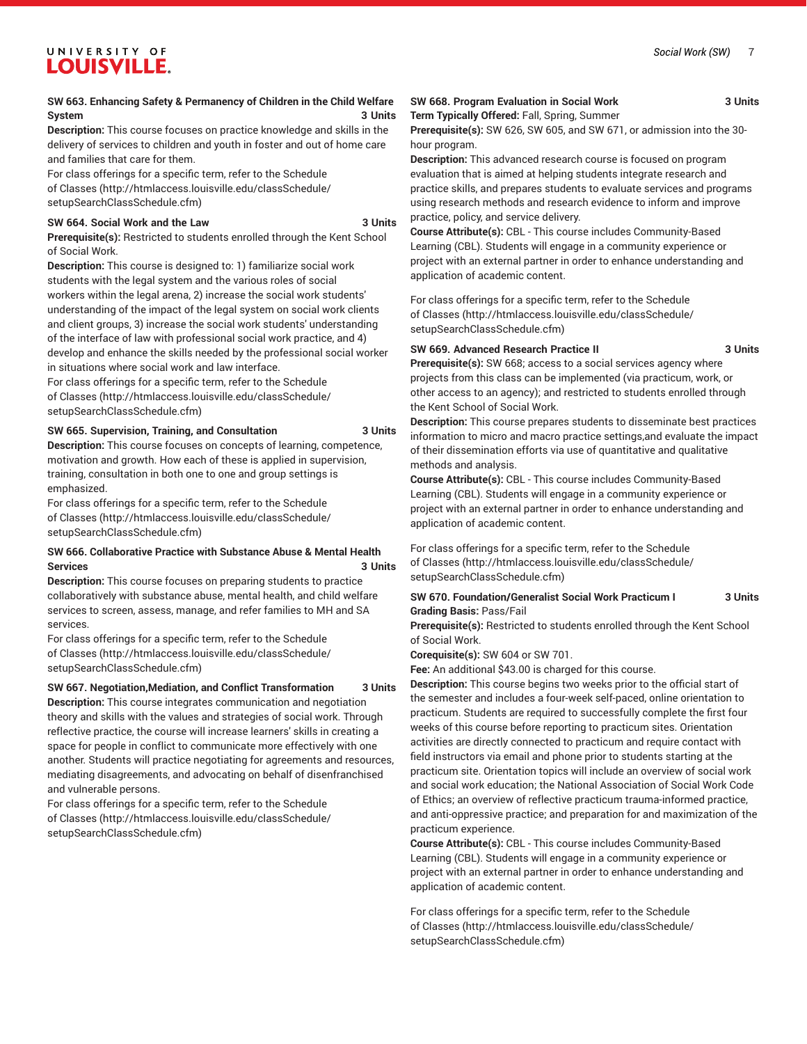## **SW 663. Enhancing Safety & Permanency of Children in the Child Welfare System 3 Units**

**Description:** This course focuses on practice knowledge and skills in the delivery of services to children and youth in foster and out of home care and families that care for them.

For class offerings for a specific term, refer to the [Schedule](http://htmlaccess.louisville.edu/classSchedule/setupSearchClassSchedule.cfm) [of Classes \(http://htmlaccess.louisville.edu/classSchedule/](http://htmlaccess.louisville.edu/classSchedule/setupSearchClassSchedule.cfm) [setupSearchClassSchedule.cfm\)](http://htmlaccess.louisville.edu/classSchedule/setupSearchClassSchedule.cfm)

## **SW 664. Social Work and the Law 3 Units**

**Prerequisite(s):** Restricted to students enrolled through the Kent School of Social Work.

**Description:** This course is designed to: 1) familiarize social work students with the legal system and the various roles of social workers within the legal arena, 2) increase the social work students' understanding of the impact of the legal system on social work clients and client groups, 3) increase the social work students' understanding of the interface of law with professional social work practice, and 4) develop and enhance the skills needed by the professional social worker in situations where social work and law interface.

For class offerings for a specific term, refer to the [Schedule](http://htmlaccess.louisville.edu/classSchedule/setupSearchClassSchedule.cfm) [of Classes \(http://htmlaccess.louisville.edu/classSchedule/](http://htmlaccess.louisville.edu/classSchedule/setupSearchClassSchedule.cfm) [setupSearchClassSchedule.cfm\)](http://htmlaccess.louisville.edu/classSchedule/setupSearchClassSchedule.cfm)

## **SW 665. Supervision, Training, and Consultation 3 Units**

**Description:** This course focuses on concepts of learning, competence, motivation and growth. How each of these is applied in supervision, training, consultation in both one to one and group settings is emphasized.

For class offerings for a specific term, refer to the [Schedule](http://htmlaccess.louisville.edu/classSchedule/setupSearchClassSchedule.cfm) [of Classes \(http://htmlaccess.louisville.edu/classSchedule/](http://htmlaccess.louisville.edu/classSchedule/setupSearchClassSchedule.cfm) [setupSearchClassSchedule.cfm\)](http://htmlaccess.louisville.edu/classSchedule/setupSearchClassSchedule.cfm)

## **SW 666. Collaborative Practice with Substance Abuse & Mental Health Services 3 Units**

**Description:** This course focuses on preparing students to practice collaboratively with substance abuse, mental health, and child welfare services to screen, assess, manage, and refer families to MH and SA services.

For class offerings for a specific term, refer to the [Schedule](http://htmlaccess.louisville.edu/classSchedule/setupSearchClassSchedule.cfm) [of Classes \(http://htmlaccess.louisville.edu/classSchedule/](http://htmlaccess.louisville.edu/classSchedule/setupSearchClassSchedule.cfm) [setupSearchClassSchedule.cfm\)](http://htmlaccess.louisville.edu/classSchedule/setupSearchClassSchedule.cfm)

## **SW 667. Negotiation,Mediation, and Conflict Transformation 3 Units**

**Description:** This course integrates communication and negotiation theory and skills with the values and strategies of social work. Through reflective practice, the course will increase learners' skills in creating a space for people in conflict to communicate more effectively with one another. Students will practice negotiating for agreements and resources, mediating disagreements, and advocating on behalf of disenfranchised and vulnerable persons.

For class offerings for a specific term, refer to the [Schedule](http://htmlaccess.louisville.edu/classSchedule/setupSearchClassSchedule.cfm) [of Classes \(http://htmlaccess.louisville.edu/classSchedule/](http://htmlaccess.louisville.edu/classSchedule/setupSearchClassSchedule.cfm) [setupSearchClassSchedule.cfm\)](http://htmlaccess.louisville.edu/classSchedule/setupSearchClassSchedule.cfm)

## **SW 668. Program Evaluation in Social Work 3 Units**

**Term Typically Offered:** Fall, Spring, Summer

**Prerequisite(s):** SW 626, SW 605, and SW 671, or admission into the 30 hour program.

**Description:** This advanced research course is focused on program evaluation that is aimed at helping students integrate research and practice skills, and prepares students to evaluate services and programs using research methods and research evidence to inform and improve practice, policy, and service delivery.

**Course Attribute(s):** CBL - This course includes Community-Based Learning (CBL). Students will engage in a community experience or project with an external partner in order to enhance understanding and application of academic content.

For class offerings for a specific term, refer to the [Schedule](http://htmlaccess.louisville.edu/classSchedule/setupSearchClassSchedule.cfm) [of Classes](http://htmlaccess.louisville.edu/classSchedule/setupSearchClassSchedule.cfm) ([http://htmlaccess.louisville.edu/classSchedule/](http://htmlaccess.louisville.edu/classSchedule/setupSearchClassSchedule.cfm) [setupSearchClassSchedule.cfm\)](http://htmlaccess.louisville.edu/classSchedule/setupSearchClassSchedule.cfm)

## **SW 669. Advanced Research Practice II 3 Units**

**Prerequisite(s):** SW 668; access to a social services agency where projects from this class can be implemented (via practicum, work, or other access to an agency); and restricted to students enrolled through the Kent School of Social Work.

**Description:** This course prepares students to disseminate best practices information to micro and macro practice settings,and evaluate the impact of their dissemination efforts via use of quantitative and qualitative methods and analysis.

**Course Attribute(s):** CBL - This course includes Community-Based Learning (CBL). Students will engage in a community experience or project with an external partner in order to enhance understanding and application of academic content.

For class offerings for a specific term, refer to the [Schedule](http://htmlaccess.louisville.edu/classSchedule/setupSearchClassSchedule.cfm) [of Classes](http://htmlaccess.louisville.edu/classSchedule/setupSearchClassSchedule.cfm) ([http://htmlaccess.louisville.edu/classSchedule/](http://htmlaccess.louisville.edu/classSchedule/setupSearchClassSchedule.cfm) [setupSearchClassSchedule.cfm\)](http://htmlaccess.louisville.edu/classSchedule/setupSearchClassSchedule.cfm)

### **SW 670. Foundation/Generalist Social Work Practicum I 3 Units Grading Basis:** Pass/Fail

**Prerequisite(s):** Restricted to students enrolled through the Kent School of Social Work.

**Corequisite(s):** SW 604 or SW 701.

**Fee:** An additional \$43.00 is charged for this course.

**Description:** This course begins two weeks prior to the official start of the semester and includes a four-week self-paced, online orientation to practicum. Students are required to successfully complete the first four weeks of this course before reporting to practicum sites. Orientation activities are directly connected to practicum and require contact with field instructors via email and phone prior to students starting at the practicum site. Orientation topics will include an overview of social work and social work education; the National Association of Social Work Code of Ethics; an overview of reflective practicum trauma-informed practice, and anti-oppressive practice; and preparation for and maximization of the practicum experience.

**Course Attribute(s):** CBL - This course includes Community-Based Learning (CBL). Students will engage in a community experience or project with an external partner in order to enhance understanding and application of academic content.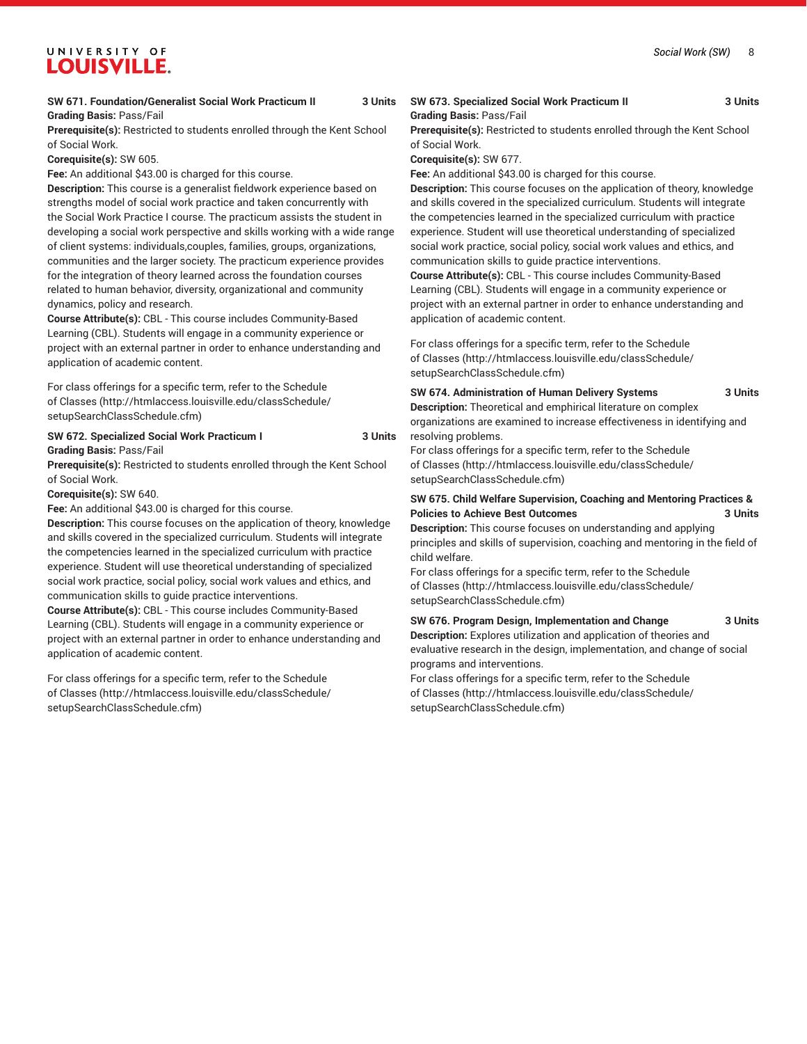## **SW 671. Foundation/Generalist Social Work Practicum II 3 Units Grading Basis:** Pass/Fail

**Prerequisite(s):** Restricted to students enrolled through the Kent School of Social Work.

**Corequisite(s):** SW 605.

**Fee:** An additional \$43.00 is charged for this course.

**Description:** This course is a generalist fieldwork experience based on strengths model of social work practice and taken concurrently with the Social Work Practice I course. The practicum assists the student in developing a social work perspective and skills working with a wide range of client systems: individuals,couples, families, groups, organizations, communities and the larger society. The practicum experience provides for the integration of theory learned across the foundation courses related to human behavior, diversity, organizational and community dynamics, policy and research.

**Course Attribute(s):** CBL - This course includes Community-Based Learning (CBL). Students will engage in a community experience or project with an external partner in order to enhance understanding and application of academic content.

For class offerings for a specific term, refer to the [Schedule](http://htmlaccess.louisville.edu/classSchedule/setupSearchClassSchedule.cfm) [of Classes \(http://htmlaccess.louisville.edu/classSchedule/](http://htmlaccess.louisville.edu/classSchedule/setupSearchClassSchedule.cfm) [setupSearchClassSchedule.cfm\)](http://htmlaccess.louisville.edu/classSchedule/setupSearchClassSchedule.cfm)

## **SW 672. Specialized Social Work Practicum I 3 Units Grading Basis:** Pass/Fail

**Prerequisite(s):** Restricted to students enrolled through the Kent School of Social Work.

**Corequisite(s):** SW 640.

**Fee:** An additional \$43.00 is charged for this course.

**Description:** This course focuses on the application of theory, knowledge and skills covered in the specialized curriculum. Students will integrate the competencies learned in the specialized curriculum with practice experience. Student will use theoretical understanding of specialized social work practice, social policy, social work values and ethics, and communication skills to guide practice interventions.

**Course Attribute(s):** CBL - This course includes Community-Based Learning (CBL). Students will engage in a community experience or project with an external partner in order to enhance understanding and application of academic content.

For class offerings for a specific term, refer to the [Schedule](http://htmlaccess.louisville.edu/classSchedule/setupSearchClassSchedule.cfm) [of Classes \(http://htmlaccess.louisville.edu/classSchedule/](http://htmlaccess.louisville.edu/classSchedule/setupSearchClassSchedule.cfm) [setupSearchClassSchedule.cfm\)](http://htmlaccess.louisville.edu/classSchedule/setupSearchClassSchedule.cfm)

## **SW 673. Specialized Social Work Practicum II 3 Units Grading Basis:** Pass/Fail

**Prerequisite(s):** Restricted to students enrolled through the Kent School of Social Work.

**Corequisite(s):** SW 677.

**Fee:** An additional \$43.00 is charged for this course.

**Description:** This course focuses on the application of theory, knowledge and skills covered in the specialized curriculum. Students will integrate the competencies learned in the specialized curriculum with practice experience. Student will use theoretical understanding of specialized social work practice, social policy, social work values and ethics, and communication skills to guide practice interventions.

**Course Attribute(s):** CBL - This course includes Community-Based Learning (CBL). Students will engage in a community experience or project with an external partner in order to enhance understanding and application of academic content.

For class offerings for a specific term, refer to the [Schedule](http://htmlaccess.louisville.edu/classSchedule/setupSearchClassSchedule.cfm) [of Classes](http://htmlaccess.louisville.edu/classSchedule/setupSearchClassSchedule.cfm) ([http://htmlaccess.louisville.edu/classSchedule/](http://htmlaccess.louisville.edu/classSchedule/setupSearchClassSchedule.cfm) [setupSearchClassSchedule.cfm\)](http://htmlaccess.louisville.edu/classSchedule/setupSearchClassSchedule.cfm)

## **SW 674. Administration of Human Delivery Systems 3 Units**

**Description:** Theoretical and emphirical literature on complex organizations are examined to increase effectiveness in identifying and resolving problems.

For class offerings for a specific term, refer to the [Schedule](http://htmlaccess.louisville.edu/classSchedule/setupSearchClassSchedule.cfm) [of Classes](http://htmlaccess.louisville.edu/classSchedule/setupSearchClassSchedule.cfm) ([http://htmlaccess.louisville.edu/classSchedule/](http://htmlaccess.louisville.edu/classSchedule/setupSearchClassSchedule.cfm) [setupSearchClassSchedule.cfm\)](http://htmlaccess.louisville.edu/classSchedule/setupSearchClassSchedule.cfm)

## **SW 675. Child Welfare Supervision, Coaching and Mentoring Practices & Policies to Achieve Best Outcomes 3 Units**

**Description:** This course focuses on understanding and applying principles and skills of supervision, coaching and mentoring in the field of child welfare.

For class offerings for a specific term, refer to the [Schedule](http://htmlaccess.louisville.edu/classSchedule/setupSearchClassSchedule.cfm) [of Classes](http://htmlaccess.louisville.edu/classSchedule/setupSearchClassSchedule.cfm) ([http://htmlaccess.louisville.edu/classSchedule/](http://htmlaccess.louisville.edu/classSchedule/setupSearchClassSchedule.cfm) [setupSearchClassSchedule.cfm\)](http://htmlaccess.louisville.edu/classSchedule/setupSearchClassSchedule.cfm)

**SW 676. Program Design, Implementation and Change 3 Units Description:** Explores utilization and application of theories and

evaluative research in the design, implementation, and change of social programs and interventions.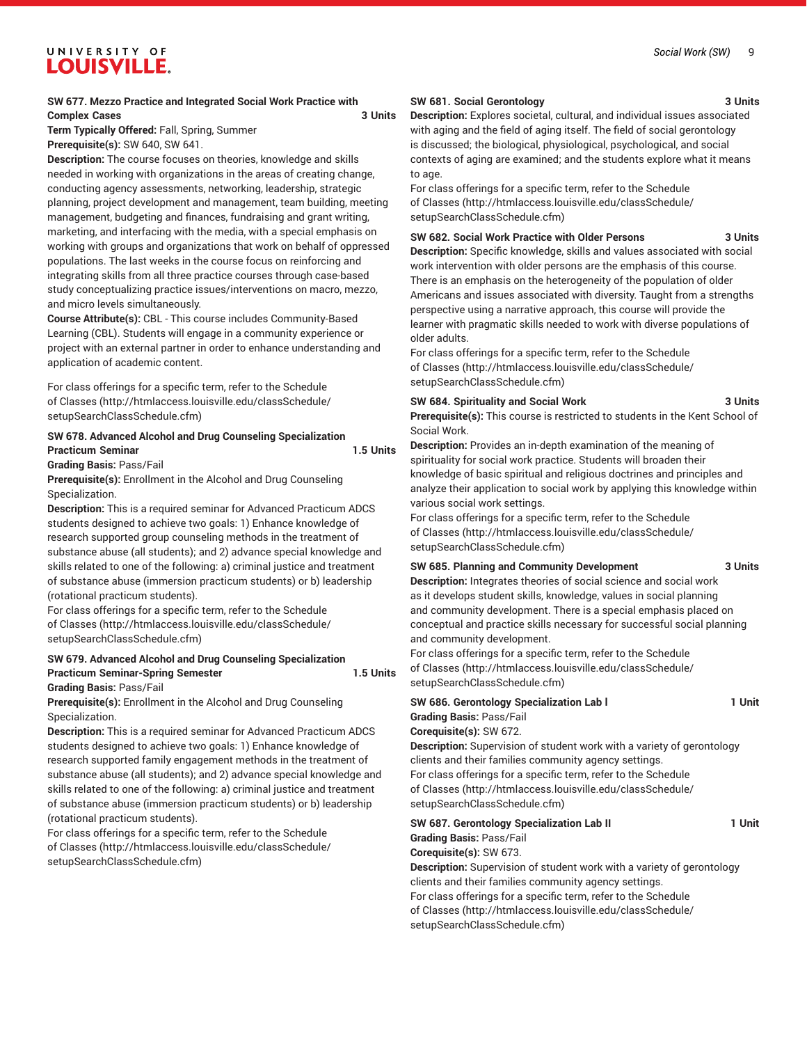## **SW 677. Mezzo Practice and Integrated Social Work Practice with Complex Cases** 3 Units

**Term Typically Offered:** Fall, Spring, Summer **Prerequisite(s):** SW 640, SW 641.

**Description:** The course focuses on theories, knowledge and skills needed in working with organizations in the areas of creating change, conducting agency assessments, networking, leadership, strategic planning, project development and management, team building, meeting management, budgeting and finances, fundraising and grant writing, marketing, and interfacing with the media, with a special emphasis on working with groups and organizations that work on behalf of oppressed populations. The last weeks in the course focus on reinforcing and integrating skills from all three practice courses through case-based study conceptualizing practice issues/interventions on macro, mezzo, and micro levels simultaneously.

**Course Attribute(s):** CBL - This course includes Community-Based Learning (CBL). Students will engage in a community experience or project with an external partner in order to enhance understanding and application of academic content.

For class offerings for a specific term, refer to the [Schedule](http://htmlaccess.louisville.edu/classSchedule/setupSearchClassSchedule.cfm) [of Classes \(http://htmlaccess.louisville.edu/classSchedule/](http://htmlaccess.louisville.edu/classSchedule/setupSearchClassSchedule.cfm) [setupSearchClassSchedule.cfm\)](http://htmlaccess.louisville.edu/classSchedule/setupSearchClassSchedule.cfm)

## **SW 678. Advanced Alcohol and Drug Counseling Specialization** Practicum Seminar **1.5 Units**

**Grading Basis:** Pass/Fail

**Prerequisite(s):** Enrollment in the Alcohol and Drug Counseling Specialization.

**Description:** This is a required seminar for Advanced Practicum ADCS students designed to achieve two goals: 1) Enhance knowledge of research supported group counseling methods in the treatment of substance abuse (all students); and 2) advance special knowledge and skills related to one of the following: a) criminal justice and treatment of substance abuse (immersion practicum students) or b) leadership (rotational practicum students).

For class offerings for a specific term, refer to the [Schedule](http://htmlaccess.louisville.edu/classSchedule/setupSearchClassSchedule.cfm) [of Classes \(http://htmlaccess.louisville.edu/classSchedule/](http://htmlaccess.louisville.edu/classSchedule/setupSearchClassSchedule.cfm) [setupSearchClassSchedule.cfm\)](http://htmlaccess.louisville.edu/classSchedule/setupSearchClassSchedule.cfm)

## **SW 679. Advanced Alcohol and Drug Counseling Specialization Practicum Seminar-Spring Semester 1.5 Units**

**Grading Basis:** Pass/Fail

**Prerequisite(s):** Enrollment in the Alcohol and Drug Counseling Specialization.

**Description:** This is a required seminar for Advanced Practicum ADCS students designed to achieve two goals: 1) Enhance knowledge of research supported family engagement methods in the treatment of substance abuse (all students); and 2) advance special knowledge and skills related to one of the following: a) criminal justice and treatment of substance abuse (immersion practicum students) or b) leadership (rotational practicum students).

For class offerings for a specific term, refer to the [Schedule](http://htmlaccess.louisville.edu/classSchedule/setupSearchClassSchedule.cfm) [of Classes \(http://htmlaccess.louisville.edu/classSchedule/](http://htmlaccess.louisville.edu/classSchedule/setupSearchClassSchedule.cfm) [setupSearchClassSchedule.cfm\)](http://htmlaccess.louisville.edu/classSchedule/setupSearchClassSchedule.cfm)

## **SW 681. Social Gerontology 3 Units**

**Description:** Explores societal, cultural, and individual issues associated with aging and the field of aging itself. The field of social gerontology is discussed; the biological, physiological, psychological, and social contexts of aging are examined; and the students explore what it means to age.

For class offerings for a specific term, refer to the [Schedule](http://htmlaccess.louisville.edu/classSchedule/setupSearchClassSchedule.cfm) [of Classes](http://htmlaccess.louisville.edu/classSchedule/setupSearchClassSchedule.cfm) ([http://htmlaccess.louisville.edu/classSchedule/](http://htmlaccess.louisville.edu/classSchedule/setupSearchClassSchedule.cfm) [setupSearchClassSchedule.cfm\)](http://htmlaccess.louisville.edu/classSchedule/setupSearchClassSchedule.cfm)

## **SW 682. Social Work Practice with Older Persons 3 Units**

**Description:** Specific knowledge, skills and values associated with social work intervention with older persons are the emphasis of this course. There is an emphasis on the heterogeneity of the population of older Americans and issues associated with diversity. Taught from a strengths perspective using a narrative approach, this course will provide the learner with pragmatic skills needed to work with diverse populations of older adults.

For class offerings for a specific term, refer to the [Schedule](http://htmlaccess.louisville.edu/classSchedule/setupSearchClassSchedule.cfm) [of Classes](http://htmlaccess.louisville.edu/classSchedule/setupSearchClassSchedule.cfm) ([http://htmlaccess.louisville.edu/classSchedule/](http://htmlaccess.louisville.edu/classSchedule/setupSearchClassSchedule.cfm) [setupSearchClassSchedule.cfm\)](http://htmlaccess.louisville.edu/classSchedule/setupSearchClassSchedule.cfm)

## **SW 684. Spirituality and Social Work 3 Units**

Social Work.

**Prerequisite(s):** This course is restricted to students in the Kent School of

**Description:** Provides an in-depth examination of the meaning of spirituality for social work practice. Students will broaden their knowledge of basic spiritual and religious doctrines and principles and analyze their application to social work by applying this knowledge within various social work settings.

For class offerings for a specific term, refer to the [Schedule](http://htmlaccess.louisville.edu/classSchedule/setupSearchClassSchedule.cfm) [of Classes](http://htmlaccess.louisville.edu/classSchedule/setupSearchClassSchedule.cfm) ([http://htmlaccess.louisville.edu/classSchedule/](http://htmlaccess.louisville.edu/classSchedule/setupSearchClassSchedule.cfm) [setupSearchClassSchedule.cfm\)](http://htmlaccess.louisville.edu/classSchedule/setupSearchClassSchedule.cfm)

## **SW 685. Planning and Community Development 3 Units**

**Description:** Integrates theories of social science and social work as it develops student skills, knowledge, values in social planning and community development. There is a special emphasis placed on conceptual and practice skills necessary for successful social planning and community development.

For class offerings for a specific term, refer to the [Schedule](http://htmlaccess.louisville.edu/classSchedule/setupSearchClassSchedule.cfm) [of Classes](http://htmlaccess.louisville.edu/classSchedule/setupSearchClassSchedule.cfm) ([http://htmlaccess.louisville.edu/classSchedule/](http://htmlaccess.louisville.edu/classSchedule/setupSearchClassSchedule.cfm) [setupSearchClassSchedule.cfm\)](http://htmlaccess.louisville.edu/classSchedule/setupSearchClassSchedule.cfm)

## **SW 686. Gerontology Specialization Lab l 1 Unit Grading Basis:** Pass/Fail **Corequisite(s):** SW 672. **Description:** Supervision of student work with a variety of gerontology clients and their families community agency settings.

For class offerings for a specific term, refer to the [Schedule](http://htmlaccess.louisville.edu/classSchedule/setupSearchClassSchedule.cfm) [of Classes](http://htmlaccess.louisville.edu/classSchedule/setupSearchClassSchedule.cfm) ([http://htmlaccess.louisville.edu/classSchedule/](http://htmlaccess.louisville.edu/classSchedule/setupSearchClassSchedule.cfm) [setupSearchClassSchedule.cfm\)](http://htmlaccess.louisville.edu/classSchedule/setupSearchClassSchedule.cfm)

| SW 687. Gerontology Specialization Lab II                                     | 1 Unit |
|-------------------------------------------------------------------------------|--------|
| <b>Grading Basis: Pass/Fail</b>                                               |        |
| Corequisite(s): SW 673.                                                       |        |
| <b>Description:</b> Supervision of student work with a variety of gerontology |        |
| clients and their families community agency settings.                         |        |
| .                                                                             |        |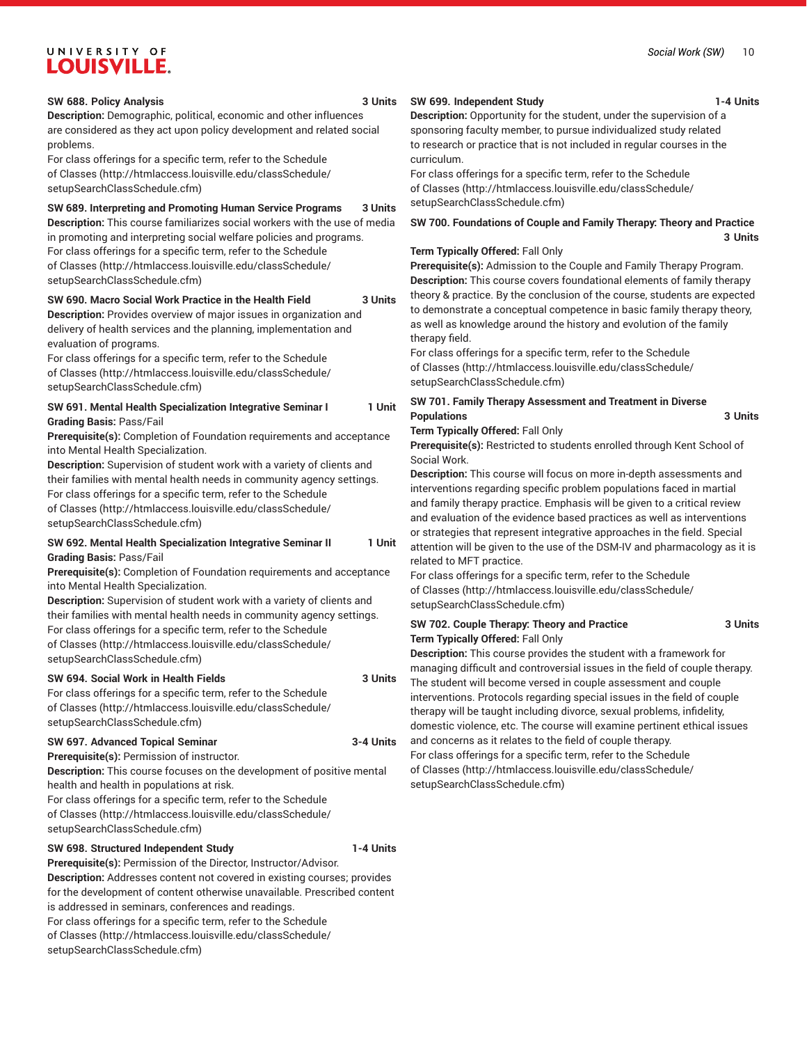## *Social Work (SW)* 10

## UNIVERSITY OF **LOUISVILLE.**

## **SW 688. Policy Analysis 3 Units**

**Description:** Demographic, political, economic and other influences are considered as they act upon policy development and related social problems.

For class offerings for a specific term, refer to the [Schedule](http://htmlaccess.louisville.edu/classSchedule/setupSearchClassSchedule.cfm) [of Classes \(http://htmlaccess.louisville.edu/classSchedule/](http://htmlaccess.louisville.edu/classSchedule/setupSearchClassSchedule.cfm) [setupSearchClassSchedule.cfm\)](http://htmlaccess.louisville.edu/classSchedule/setupSearchClassSchedule.cfm)

## **SW 689. Interpreting and Promoting Human Service Programs 3 Units**

**Description:** This course familiarizes social workers with the use of media in promoting and interpreting social welfare policies and programs. For class offerings for a specific term, refer to the [Schedule](http://htmlaccess.louisville.edu/classSchedule/setupSearchClassSchedule.cfm) [of Classes \(http://htmlaccess.louisville.edu/classSchedule/](http://htmlaccess.louisville.edu/classSchedule/setupSearchClassSchedule.cfm) [setupSearchClassSchedule.cfm\)](http://htmlaccess.louisville.edu/classSchedule/setupSearchClassSchedule.cfm)

## **SW 690. Macro Social Work Practice in the Health Field 3 Units**

**Description:** Provides overview of major issues in organization and delivery of health services and the planning, implementation and evaluation of programs.

For class offerings for a specific term, refer to the [Schedule](http://htmlaccess.louisville.edu/classSchedule/setupSearchClassSchedule.cfm) [of Classes \(http://htmlaccess.louisville.edu/classSchedule/](http://htmlaccess.louisville.edu/classSchedule/setupSearchClassSchedule.cfm) [setupSearchClassSchedule.cfm\)](http://htmlaccess.louisville.edu/classSchedule/setupSearchClassSchedule.cfm)

## **SW 691. Mental Health Specialization Integrative Seminar I 1 Unit Grading Basis:** Pass/Fail

**Prerequisite(s):** Completion of Foundation requirements and acceptance into Mental Health Specialization.

**Description:** Supervision of student work with a variety of clients and their families with mental health needs in community agency settings. For class offerings for a specific term, refer to the [Schedule](http://htmlaccess.louisville.edu/classSchedule/setupSearchClassSchedule.cfm) [of Classes \(http://htmlaccess.louisville.edu/classSchedule/](http://htmlaccess.louisville.edu/classSchedule/setupSearchClassSchedule.cfm) [setupSearchClassSchedule.cfm\)](http://htmlaccess.louisville.edu/classSchedule/setupSearchClassSchedule.cfm)

## **SW 692. Mental Health Specialization Integrative Seminar II 1 Unit Grading Basis:** Pass/Fail

**Prerequisite(s):** Completion of Foundation requirements and acceptance into Mental Health Specialization.

**Description:** Supervision of student work with a variety of clients and their families with mental health needs in community agency settings. For class offerings for a specific term, refer to the [Schedule](http://htmlaccess.louisville.edu/classSchedule/setupSearchClassSchedule.cfm) [of Classes \(http://htmlaccess.louisville.edu/classSchedule/](http://htmlaccess.louisville.edu/classSchedule/setupSearchClassSchedule.cfm) [setupSearchClassSchedule.cfm\)](http://htmlaccess.louisville.edu/classSchedule/setupSearchClassSchedule.cfm)

## **SW 694. Social Work in Health Fields 3 Units**

For class offerings for a specific term, refer to the [Schedule](http://htmlaccess.louisville.edu/classSchedule/setupSearchClassSchedule.cfm) [of Classes \(http://htmlaccess.louisville.edu/classSchedule/](http://htmlaccess.louisville.edu/classSchedule/setupSearchClassSchedule.cfm) [setupSearchClassSchedule.cfm\)](http://htmlaccess.louisville.edu/classSchedule/setupSearchClassSchedule.cfm)

## **SW 697. Advanced Topical Seminar 3-4 Units**

**Prerequisite(s):** Permission of instructor. **Description:** This course focuses on the development of positive mental health and health in populations at risk.

For class offerings for a specific term, refer to the [Schedule](http://htmlaccess.louisville.edu/classSchedule/setupSearchClassSchedule.cfm) [of Classes \(http://htmlaccess.louisville.edu/classSchedule/](http://htmlaccess.louisville.edu/classSchedule/setupSearchClassSchedule.cfm) [setupSearchClassSchedule.cfm\)](http://htmlaccess.louisville.edu/classSchedule/setupSearchClassSchedule.cfm)

## **SW 698. Structured Independent Study 1-4 Units**

**Prerequisite(s):** Permission of the Director, Instructor/Advisor. **Description:** Addresses content not covered in existing courses; provides for the development of content otherwise unavailable. Prescribed content is addressed in seminars, conferences and readings. For class offerings for a specific term, refer to the [Schedule](http://htmlaccess.louisville.edu/classSchedule/setupSearchClassSchedule.cfm) [of Classes \(http://htmlaccess.louisville.edu/classSchedule/](http://htmlaccess.louisville.edu/classSchedule/setupSearchClassSchedule.cfm) [setupSearchClassSchedule.cfm\)](http://htmlaccess.louisville.edu/classSchedule/setupSearchClassSchedule.cfm)

## **SW 699. Independent Study 1-4 Units**

**Description:** Opportunity for the student, under the supervision of a sponsoring faculty member, to pursue individualized study related to research or practice that is not included in regular courses in the curriculum.

For class offerings for a specific term, refer to the [Schedule](http://htmlaccess.louisville.edu/classSchedule/setupSearchClassSchedule.cfm) [of Classes](http://htmlaccess.louisville.edu/classSchedule/setupSearchClassSchedule.cfm) ([http://htmlaccess.louisville.edu/classSchedule/](http://htmlaccess.louisville.edu/classSchedule/setupSearchClassSchedule.cfm) [setupSearchClassSchedule.cfm\)](http://htmlaccess.louisville.edu/classSchedule/setupSearchClassSchedule.cfm)

**SW 700. Foundations of Couple and Family Therapy: Theory and Practice 3 Units**

## **Term Typically Offered:** Fall Only

**Prerequisite(s):** Admission to the Couple and Family Therapy Program. **Description:** This course covers foundational elements of family therapy theory & practice. By the conclusion of the course, students are expected to demonstrate a conceptual competence in basic family therapy theory, as well as knowledge around the history and evolution of the family therapy field.

For class offerings for a specific term, refer to the [Schedule](http://htmlaccess.louisville.edu/classSchedule/setupSearchClassSchedule.cfm) [of Classes](http://htmlaccess.louisville.edu/classSchedule/setupSearchClassSchedule.cfm) ([http://htmlaccess.louisville.edu/classSchedule/](http://htmlaccess.louisville.edu/classSchedule/setupSearchClassSchedule.cfm) [setupSearchClassSchedule.cfm\)](http://htmlaccess.louisville.edu/classSchedule/setupSearchClassSchedule.cfm)

## **SW 701. Family Therapy Assessment and Treatment in Diverse Populations 3 Units**

## **Term Typically Offered:** Fall Only

**Prerequisite(s):** Restricted to students enrolled through Kent School of Social Work.

**Description:** This course will focus on more in-depth assessments and interventions regarding specific problem populations faced in martial and family therapy practice. Emphasis will be given to a critical review and evaluation of the evidence based practices as well as interventions or strategies that represent integrative approaches in the field. Special attention will be given to the use of the DSM-IV and pharmacology as it is related to MFT practice.

For class offerings for a specific term, refer to the [Schedule](http://htmlaccess.louisville.edu/classSchedule/setupSearchClassSchedule.cfm) [of Classes](http://htmlaccess.louisville.edu/classSchedule/setupSearchClassSchedule.cfm) ([http://htmlaccess.louisville.edu/classSchedule/](http://htmlaccess.louisville.edu/classSchedule/setupSearchClassSchedule.cfm) [setupSearchClassSchedule.cfm\)](http://htmlaccess.louisville.edu/classSchedule/setupSearchClassSchedule.cfm)

## **SW 702. Couple Therapy: Theory and Practice 3 Units Term Typically Offered:** Fall Only

**Description:** This course provides the student with a framework for managing difficult and controversial issues in the field of couple therapy. The student will become versed in couple assessment and couple interventions. Protocols regarding special issues in the field of couple therapy will be taught including divorce, sexual problems, infidelity, domestic violence, etc. The course will examine pertinent ethical issues and concerns as it relates to the field of couple therapy. For class offerings for a specific term, refer to the [Schedule](http://htmlaccess.louisville.edu/classSchedule/setupSearchClassSchedule.cfm) [of Classes](http://htmlaccess.louisville.edu/classSchedule/setupSearchClassSchedule.cfm) ([http://htmlaccess.louisville.edu/classSchedule/](http://htmlaccess.louisville.edu/classSchedule/setupSearchClassSchedule.cfm) [setupSearchClassSchedule.cfm\)](http://htmlaccess.louisville.edu/classSchedule/setupSearchClassSchedule.cfm)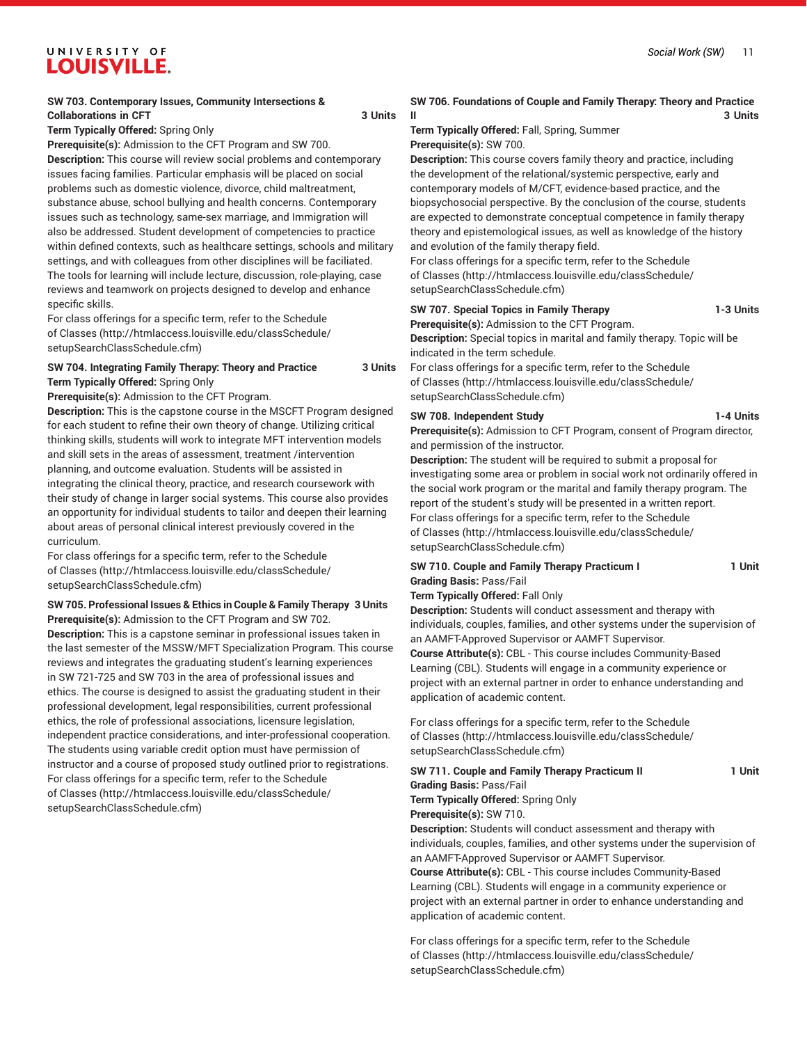## **SW 703. Contemporary Issues, Community Intersections & Collaborations in CFT 3 Units**

**Term Typically Offered:** Spring Only

**Prerequisite(s):** Admission to the CFT Program and SW 700.

**Description:** This course will review social problems and contemporary issues facing families. Particular emphasis will be placed on social problems such as domestic violence, divorce, child maltreatment, substance abuse, school bullying and health concerns. Contemporary issues such as technology, same-sex marriage, and Immigration will also be addressed. Student development of competencies to practice within defined contexts, such as healthcare settings, schools and military settings, and with colleagues from other disciplines will be faciliated. The tools for learning will include lecture, discussion, role-playing, case reviews and teamwork on projects designed to develop and enhance specific skills.

For class offerings for a specific term, refer to the [Schedule](http://htmlaccess.louisville.edu/classSchedule/setupSearchClassSchedule.cfm) [of Classes \(http://htmlaccess.louisville.edu/classSchedule/](http://htmlaccess.louisville.edu/classSchedule/setupSearchClassSchedule.cfm) [setupSearchClassSchedule.cfm\)](http://htmlaccess.louisville.edu/classSchedule/setupSearchClassSchedule.cfm)

## **SW 704. Integrating Family Therapy: Theory and Practice 3 Units Term Typically Offered:** Spring Only

**Prerequisite(s):** Admission to the CFT Program.

**Description:** This is the capstone course in the MSCFT Program designed for each student to refine their own theory of change. Utilizing critical thinking skills, students will work to integrate MFT intervention models and skill sets in the areas of assessment, treatment /intervention planning, and outcome evaluation. Students will be assisted in integrating the clinical theory, practice, and research coursework with their study of change in larger social systems. This course also provides an opportunity for individual students to tailor and deepen their learning about areas of personal clinical interest previously covered in the curriculum.

For class offerings for a specific term, refer to the [Schedule](http://htmlaccess.louisville.edu/classSchedule/setupSearchClassSchedule.cfm) [of Classes \(http://htmlaccess.louisville.edu/classSchedule/](http://htmlaccess.louisville.edu/classSchedule/setupSearchClassSchedule.cfm) [setupSearchClassSchedule.cfm\)](http://htmlaccess.louisville.edu/classSchedule/setupSearchClassSchedule.cfm)

## **SW 705. Professional Issues & Ethics in Couple & Family Therapy 3 Units Prerequisite(s):** Admission to the CFT Program and SW 702.

**Description:** This is a capstone seminar in professional issues taken in the last semester of the MSSW/MFT Specialization Program. This course reviews and integrates the graduating student's learning experiences in SW 721-725 and SW 703 in the area of professional issues and ethics. The course is designed to assist the graduating student in their professional development, legal responsibilities, current professional ethics, the role of professional associations, licensure legislation, independent practice considerations, and inter-professional cooperation. The students using variable credit option must have permission of instructor and a course of proposed study outlined prior to registrations. For class offerings for a specific term, refer to the [Schedule](http://htmlaccess.louisville.edu/classSchedule/setupSearchClassSchedule.cfm) [of Classes \(http://htmlaccess.louisville.edu/classSchedule/](http://htmlaccess.louisville.edu/classSchedule/setupSearchClassSchedule.cfm) [setupSearchClassSchedule.cfm\)](http://htmlaccess.louisville.edu/classSchedule/setupSearchClassSchedule.cfm)

## **SW 706. Foundations of Couple and Family Therapy: Theory and Practice II 3 Units**

**Term Typically Offered:** Fall, Spring, Summer **Prerequisite(s):** SW 700.

**Description:** This course covers family theory and practice, including the development of the relational/systemic perspective, early and contemporary models of M/CFT, evidence-based practice, and the biopsychosocial perspective. By the conclusion of the course, students are expected to demonstrate conceptual competence in family therapy theory and epistemological issues, as well as knowledge of the history and evolution of the family therapy field.

For class offerings for a specific term, refer to the [Schedule](http://htmlaccess.louisville.edu/classSchedule/setupSearchClassSchedule.cfm) [of Classes](http://htmlaccess.louisville.edu/classSchedule/setupSearchClassSchedule.cfm) ([http://htmlaccess.louisville.edu/classSchedule/](http://htmlaccess.louisville.edu/classSchedule/setupSearchClassSchedule.cfm) [setupSearchClassSchedule.cfm\)](http://htmlaccess.louisville.edu/classSchedule/setupSearchClassSchedule.cfm)

## **SW 707. Special Topics in Family Therapy 1-3 Units**

**Prerequisite(s):** Admission to the CFT Program. **Description:** Special topics in marital and family therapy. Topic will be indicated in the term schedule.

For class offerings for a specific term, refer to the [Schedule](http://htmlaccess.louisville.edu/classSchedule/setupSearchClassSchedule.cfm) [of Classes](http://htmlaccess.louisville.edu/classSchedule/setupSearchClassSchedule.cfm) ([http://htmlaccess.louisville.edu/classSchedule/](http://htmlaccess.louisville.edu/classSchedule/setupSearchClassSchedule.cfm) [setupSearchClassSchedule.cfm\)](http://htmlaccess.louisville.edu/classSchedule/setupSearchClassSchedule.cfm)

## **SW 708. Independent Study 1-4 Units**

**Prerequisite(s):** Admission to CFT Program, consent of Program director, and permission of the instructor.

**Description:** The student will be required to submit a proposal for investigating some area or problem in social work not ordinarily offered in the social work program or the marital and family therapy program. The report of the student's study will be presented in a written report. For class offerings for a specific term, refer to the [Schedule](http://htmlaccess.louisville.edu/classSchedule/setupSearchClassSchedule.cfm) [of Classes](http://htmlaccess.louisville.edu/classSchedule/setupSearchClassSchedule.cfm) ([http://htmlaccess.louisville.edu/classSchedule/](http://htmlaccess.louisville.edu/classSchedule/setupSearchClassSchedule.cfm) [setupSearchClassSchedule.cfm\)](http://htmlaccess.louisville.edu/classSchedule/setupSearchClassSchedule.cfm)

## **SW 710. Couple and Family Therapy Practicum I 1 Unit Grading Basis:** Pass/Fail

## **Term Typically Offered:** Fall Only

**Description:** Students will conduct assessment and therapy with individuals, couples, families, and other systems under the supervision of an AAMFT-Approved Supervisor or AAMFT Supervisor.

**Course Attribute(s):** CBL - This course includes Community-Based Learning (CBL). Students will engage in a community experience or project with an external partner in order to enhance understanding and application of academic content.

For class offerings for a specific term, refer to the [Schedule](http://htmlaccess.louisville.edu/classSchedule/setupSearchClassSchedule.cfm) [of Classes](http://htmlaccess.louisville.edu/classSchedule/setupSearchClassSchedule.cfm) ([http://htmlaccess.louisville.edu/classSchedule/](http://htmlaccess.louisville.edu/classSchedule/setupSearchClassSchedule.cfm) [setupSearchClassSchedule.cfm\)](http://htmlaccess.louisville.edu/classSchedule/setupSearchClassSchedule.cfm)

### **SW 711. Couple and Family Therapy Practicum II 1 Unit Grading Basis:** Pass/Fail

**Term Typically Offered:** Spring Only **Prerequisite(s):** SW 710.

**Description:** Students will conduct assessment and therapy with individuals, couples, families, and other systems under the supervision of an AAMFT-Approved Supervisor or AAMFT Supervisor.

**Course Attribute(s):** CBL - This course includes Community-Based Learning (CBL). Students will engage in a community experience or project with an external partner in order to enhance understanding and application of academic content.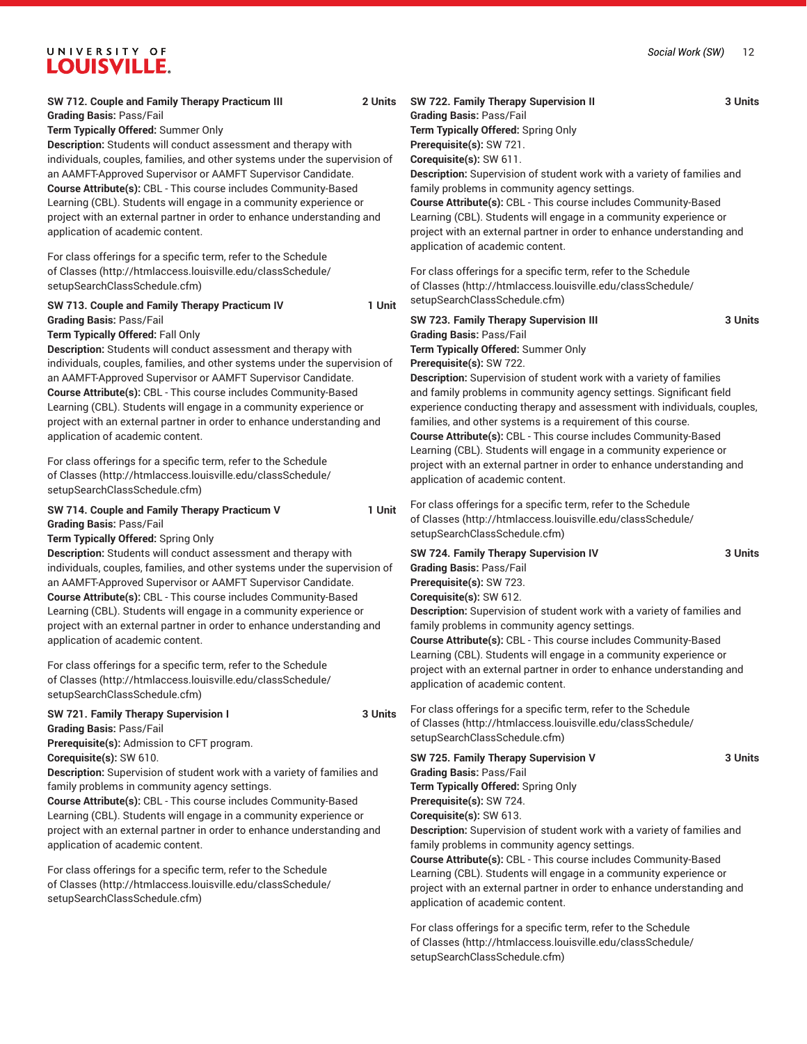## *Social Work (SW)* 12

## UNIVERSITY OF **LOUISVILLE.**

## **SW 712. Couple and Family Therapy Practicum III 2 Units Grading Basis:** Pass/Fail

**Term Typically Offered:** Summer Only

**Description:** Students will conduct assessment and therapy with individuals, couples, families, and other systems under the supervision of an AAMFT-Approved Supervisor or AAMFT Supervisor Candidate. **Course Attribute(s):** CBL - This course includes Community-Based Learning (CBL). Students will engage in a community experience or project with an external partner in order to enhance understanding and application of academic content.

For class offerings for a specific term, refer to the [Schedule](http://htmlaccess.louisville.edu/classSchedule/setupSearchClassSchedule.cfm) [of Classes \(http://htmlaccess.louisville.edu/classSchedule/](http://htmlaccess.louisville.edu/classSchedule/setupSearchClassSchedule.cfm) [setupSearchClassSchedule.cfm\)](http://htmlaccess.louisville.edu/classSchedule/setupSearchClassSchedule.cfm)

## **SW 713. Couple and Family Therapy Practicum IV 1 Unit Grading Basis:** Pass/Fail

### **Term Typically Offered:** Fall Only

**Description:** Students will conduct assessment and therapy with individuals, couples, families, and other systems under the supervision of an AAMFT-Approved Supervisor or AAMFT Supervisor Candidate. **Course Attribute(s):** CBL - This course includes Community-Based Learning (CBL). Students will engage in a community experience or project with an external partner in order to enhance understanding and application of academic content.

For class offerings for a specific term, refer to the [Schedule](http://htmlaccess.louisville.edu/classSchedule/setupSearchClassSchedule.cfm) [of Classes \(http://htmlaccess.louisville.edu/classSchedule/](http://htmlaccess.louisville.edu/classSchedule/setupSearchClassSchedule.cfm) [setupSearchClassSchedule.cfm\)](http://htmlaccess.louisville.edu/classSchedule/setupSearchClassSchedule.cfm)

## **SW 714. Couple and Family Therapy Practicum V 1 Unit Grading Basis:** Pass/Fail

**Term Typically Offered:** Spring Only

**Description:** Students will conduct assessment and therapy with individuals, couples, families, and other systems under the supervision of an AAMFT-Approved Supervisor or AAMFT Supervisor Candidate. **Course Attribute(s):** CBL - This course includes Community-Based Learning (CBL). Students will engage in a community experience or project with an external partner in order to enhance understanding and application of academic content.

For class offerings for a specific term, refer to the [Schedule](http://htmlaccess.louisville.edu/classSchedule/setupSearchClassSchedule.cfm) [of Classes \(http://htmlaccess.louisville.edu/classSchedule/](http://htmlaccess.louisville.edu/classSchedule/setupSearchClassSchedule.cfm) [setupSearchClassSchedule.cfm\)](http://htmlaccess.louisville.edu/classSchedule/setupSearchClassSchedule.cfm)

## **SW 721. Family Therapy Supervision I 3 Units Grading Basis:** Pass/Fail

**Prerequisite(s):** Admission to CFT program. **Corequisite(s):** SW 610.

**Description:** Supervision of student work with a variety of families and family problems in community agency settings.

**Course Attribute(s):** CBL - This course includes Community-Based Learning (CBL). Students will engage in a community experience or project with an external partner in order to enhance understanding and application of academic content.

For class offerings for a specific term, refer to the [Schedule](http://htmlaccess.louisville.edu/classSchedule/setupSearchClassSchedule.cfm) [of Classes \(http://htmlaccess.louisville.edu/classSchedule/](http://htmlaccess.louisville.edu/classSchedule/setupSearchClassSchedule.cfm) [setupSearchClassSchedule.cfm\)](http://htmlaccess.louisville.edu/classSchedule/setupSearchClassSchedule.cfm)

## **SW 722. Family Therapy Supervision II 3 Units Grading Basis:** Pass/Fail **Term Typically Offered:** Spring Only **Prerequisite(s):** SW 721. **Corequisite(s):** SW 611. **Description:** Supervision of student work with a variety of families and family problems in community agency settings.

**Course Attribute(s):** CBL - This course includes Community-Based Learning (CBL). Students will engage in a community experience or project with an external partner in order to enhance understanding and application of academic content.

For class offerings for a specific term, refer to the [Schedule](http://htmlaccess.louisville.edu/classSchedule/setupSearchClassSchedule.cfm) [of Classes](http://htmlaccess.louisville.edu/classSchedule/setupSearchClassSchedule.cfm) ([http://htmlaccess.louisville.edu/classSchedule/](http://htmlaccess.louisville.edu/classSchedule/setupSearchClassSchedule.cfm) [setupSearchClassSchedule.cfm\)](http://htmlaccess.louisville.edu/classSchedule/setupSearchClassSchedule.cfm)

**SW 723. Family Therapy Supervision III 3 Units Grading Basis:** Pass/Fail **Term Typically Offered:** Summer Only **Prerequisite(s):** SW 722.

**Description:** Supervision of student work with a variety of families and family problems in community agency settings. Significant field experience conducting therapy and assessment with individuals, couples, families, and other systems is a requirement of this course. **Course Attribute(s):** CBL - This course includes Community-Based Learning (CBL). Students will engage in a community experience or project with an external partner in order to enhance understanding and application of academic content.

For class offerings for a specific term, refer to the [Schedule](http://htmlaccess.louisville.edu/classSchedule/setupSearchClassSchedule.cfm) [of Classes](http://htmlaccess.louisville.edu/classSchedule/setupSearchClassSchedule.cfm) ([http://htmlaccess.louisville.edu/classSchedule/](http://htmlaccess.louisville.edu/classSchedule/setupSearchClassSchedule.cfm) [setupSearchClassSchedule.cfm\)](http://htmlaccess.louisville.edu/classSchedule/setupSearchClassSchedule.cfm)

**SW 724. Family Therapy Supervision IV 3 Units Grading Basis:** Pass/Fail **Prerequisite(s):** SW 723. **Corequisite(s):** SW 612. **Description:** Supervision of student work with a variety of families and family problems in community agency settings. **Course Attribute(s):** CBL - This course includes Community-Based Learning (CBL). Students will engage in a community experience or project with an external partner in order to enhance understanding and application of academic content.

For class offerings for a specific term, refer to the [Schedule](http://htmlaccess.louisville.edu/classSchedule/setupSearchClassSchedule.cfm) [of Classes](http://htmlaccess.louisville.edu/classSchedule/setupSearchClassSchedule.cfm) ([http://htmlaccess.louisville.edu/classSchedule/](http://htmlaccess.louisville.edu/classSchedule/setupSearchClassSchedule.cfm) [setupSearchClassSchedule.cfm\)](http://htmlaccess.louisville.edu/classSchedule/setupSearchClassSchedule.cfm)

**SW 725. Family Therapy Supervision V 3 Units Grading Basis:** Pass/Fail **Term Typically Offered:** Spring Only **Prerequisite(s):** SW 724. **Corequisite(s):** SW 613.

**Description:** Supervision of student work with a variety of families and family problems in community agency settings.

**Course Attribute(s):** CBL - This course includes Community-Based Learning (CBL). Students will engage in a community experience or project with an external partner in order to enhance understanding and application of academic content.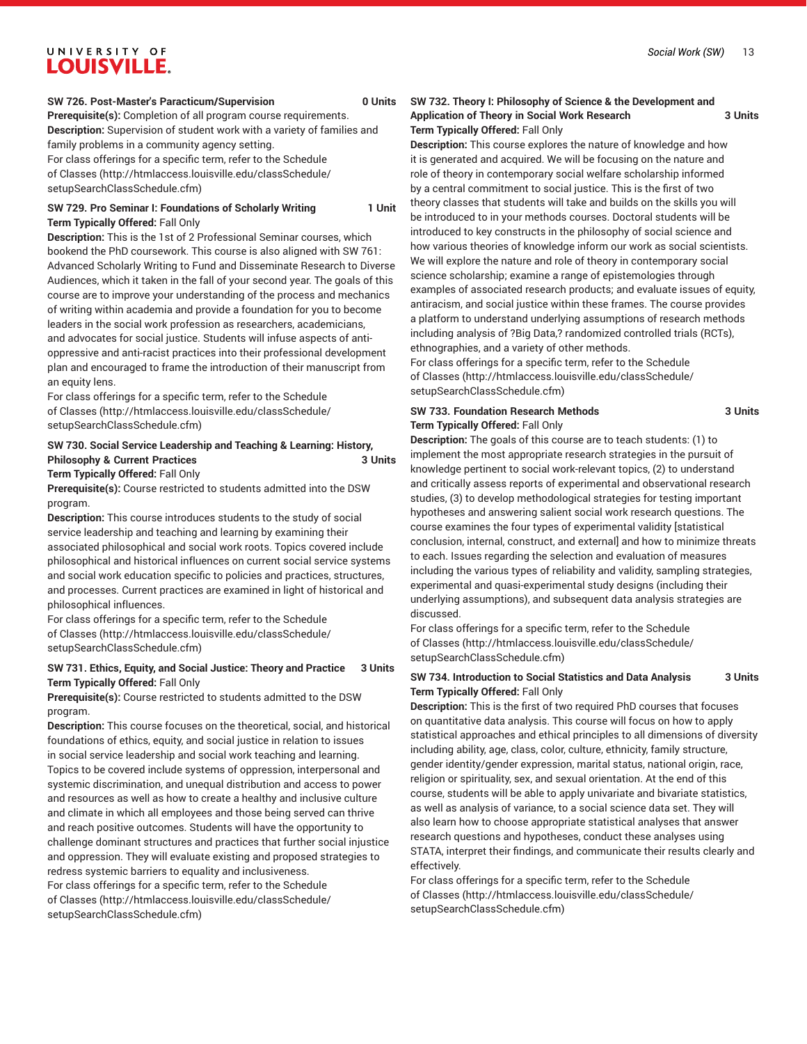## **SW 726. Post-Master's Paracticum/Supervision 0 Units**

**Prerequisite(s):** Completion of all program course requirements. **Description:** Supervision of student work with a variety of families and family problems in a community agency setting. For class offerings for a specific term, refer to the [Schedule](http://htmlaccess.louisville.edu/classSchedule/setupSearchClassSchedule.cfm) [of Classes \(http://htmlaccess.louisville.edu/classSchedule/](http://htmlaccess.louisville.edu/classSchedule/setupSearchClassSchedule.cfm)

[setupSearchClassSchedule.cfm\)](http://htmlaccess.louisville.edu/classSchedule/setupSearchClassSchedule.cfm) **SW 729. Pro Seminar I: Foundations of Scholarly Writing 1 Unit**

**Term Typically Offered:** Fall Only

**Description:** This is the 1st of 2 Professional Seminar courses, which bookend the PhD coursework. This course is also aligned with SW 761: Advanced Scholarly Writing to Fund and Disseminate Research to Diverse Audiences, which it taken in the fall of your second year. The goals of this course are to improve your understanding of the process and mechanics of writing within academia and provide a foundation for you to become leaders in the social work profession as researchers, academicians, and advocates for social justice. Students will infuse aspects of antioppressive and anti-racist practices into their professional development plan and encouraged to frame the introduction of their manuscript from an equity lens.

For class offerings for a specific term, refer to the [Schedule](http://htmlaccess.louisville.edu/classSchedule/setupSearchClassSchedule.cfm) [of Classes \(http://htmlaccess.louisville.edu/classSchedule/](http://htmlaccess.louisville.edu/classSchedule/setupSearchClassSchedule.cfm) [setupSearchClassSchedule.cfm\)](http://htmlaccess.louisville.edu/classSchedule/setupSearchClassSchedule.cfm)

## **SW 730. Social Service Leadership and Teaching & Learning: History, Philosophy & Current Practices** 3 Units

### **Term Typically Offered:** Fall Only

**Prerequisite(s):** Course restricted to students admitted into the DSW program.

**Description:** This course introduces students to the study of social service leadership and teaching and learning by examining their associated philosophical and social work roots. Topics covered include philosophical and historical influences on current social service systems and social work education specific to policies and practices, structures, and processes. Current practices are examined in light of historical and philosophical influences.

For class offerings for a specific term, refer to the [Schedule](http://htmlaccess.louisville.edu/classSchedule/setupSearchClassSchedule.cfm) [of Classes \(http://htmlaccess.louisville.edu/classSchedule/](http://htmlaccess.louisville.edu/classSchedule/setupSearchClassSchedule.cfm) [setupSearchClassSchedule.cfm\)](http://htmlaccess.louisville.edu/classSchedule/setupSearchClassSchedule.cfm)

## **SW 731. Ethics, Equity, and Social Justice: Theory and Practice 3 Units Term Typically Offered:** Fall Only

**Prerequisite(s):** Course restricted to students admitted to the DSW program.

**Description:** This course focuses on the theoretical, social, and historical foundations of ethics, equity, and social justice in relation to issues in social service leadership and social work teaching and learning. Topics to be covered include systems of oppression, interpersonal and systemic discrimination, and unequal distribution and access to power and resources as well as how to create a healthy and inclusive culture and climate in which all employees and those being served can thrive and reach positive outcomes. Students will have the opportunity to challenge dominant structures and practices that further social injustice and oppression. They will evaluate existing and proposed strategies to redress systemic barriers to equality and inclusiveness.

For class offerings for a specific term, refer to the [Schedule](http://htmlaccess.louisville.edu/classSchedule/setupSearchClassSchedule.cfm) [of Classes \(http://htmlaccess.louisville.edu/classSchedule/](http://htmlaccess.louisville.edu/classSchedule/setupSearchClassSchedule.cfm) [setupSearchClassSchedule.cfm\)](http://htmlaccess.louisville.edu/classSchedule/setupSearchClassSchedule.cfm)

## **SW 732. Theory I: Philosophy of Science & the Development and Application of Theory in Social Work Research 3 Units Term Typically Offered:** Fall Only

**Description:** This course explores the nature of knowledge and how it is generated and acquired. We will be focusing on the nature and role of theory in contemporary social welfare scholarship informed by a central commitment to social justice. This is the first of two theory classes that students will take and builds on the skills you will be introduced to in your methods courses. Doctoral students will be introduced to key constructs in the philosophy of social science and how various theories of knowledge inform our work as social scientists. We will explore the nature and role of theory in contemporary social science scholarship; examine a range of epistemologies through examples of associated research products; and evaluate issues of equity, antiracism, and social justice within these frames. The course provides a platform to understand underlying assumptions of research methods including analysis of ?Big Data,? randomized controlled trials (RCTs), ethnographies, and a variety of other methods.

For class offerings for a specific term, refer to the [Schedule](http://htmlaccess.louisville.edu/classSchedule/setupSearchClassSchedule.cfm) [of Classes](http://htmlaccess.louisville.edu/classSchedule/setupSearchClassSchedule.cfm) ([http://htmlaccess.louisville.edu/classSchedule/](http://htmlaccess.louisville.edu/classSchedule/setupSearchClassSchedule.cfm) [setupSearchClassSchedule.cfm\)](http://htmlaccess.louisville.edu/classSchedule/setupSearchClassSchedule.cfm)

## **SW 733. Foundation Research Methods 3 Units Term Typically Offered:** Fall Only

**Description:** The goals of this course are to teach students: (1) to implement the most appropriate research strategies in the pursuit of knowledge pertinent to social work-relevant topics, (2) to understand and critically assess reports of experimental and observational research studies, (3) to develop methodological strategies for testing important hypotheses and answering salient social work research questions. The course examines the four types of experimental validity [statistical conclusion, internal, construct, and external] and how to minimize threats to each. Issues regarding the selection and evaluation of measures including the various types of reliability and validity, sampling strategies, experimental and quasi-experimental study designs (including their underlying assumptions), and subsequent data analysis strategies are discussed.

For class offerings for a specific term, refer to the [Schedule](http://htmlaccess.louisville.edu/classSchedule/setupSearchClassSchedule.cfm) [of Classes](http://htmlaccess.louisville.edu/classSchedule/setupSearchClassSchedule.cfm) ([http://htmlaccess.louisville.edu/classSchedule/](http://htmlaccess.louisville.edu/classSchedule/setupSearchClassSchedule.cfm) [setupSearchClassSchedule.cfm\)](http://htmlaccess.louisville.edu/classSchedule/setupSearchClassSchedule.cfm)

## **SW 734. Introduction to Social Statistics and Data Analysis 3 Units Term Typically Offered:** Fall Only

**Description:** This is the first of two required PhD courses that focuses on quantitative data analysis. This course will focus on how to apply statistical approaches and ethical principles to all dimensions of diversity including ability, age, class, color, culture, ethnicity, family structure, gender identity/gender expression, marital status, national origin, race, religion or spirituality, sex, and sexual orientation. At the end of this course, students will be able to apply univariate and bivariate statistics, as well as analysis of variance, to a social science data set. They will also learn how to choose appropriate statistical analyses that answer research questions and hypotheses, conduct these analyses using STATA, interpret their findings, and communicate their results clearly and effectively.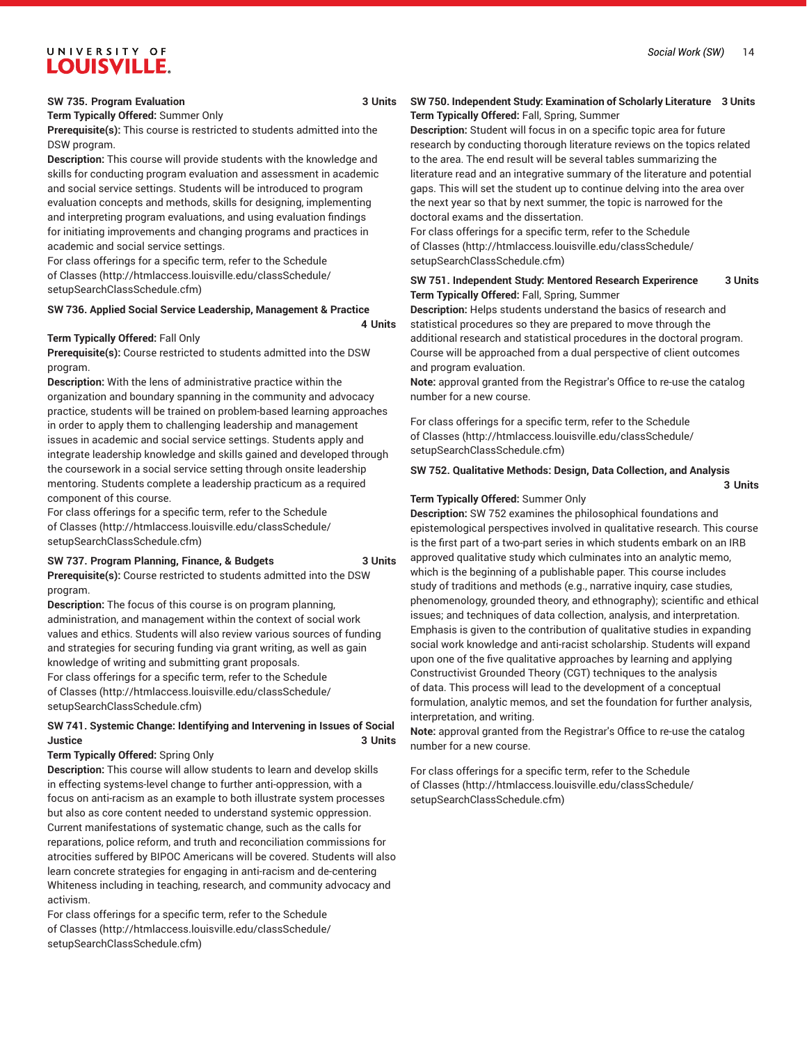### **SW 735. Program Evaluation 3 Units**

## **Term Typically Offered:** Summer Only

**Prerequisite(s):** This course is restricted to students admitted into the DSW program.

**Description:** This course will provide students with the knowledge and skills for conducting program evaluation and assessment in academic and social service settings. Students will be introduced to program evaluation concepts and methods, skills for designing, implementing and interpreting program evaluations, and using evaluation findings for initiating improvements and changing programs and practices in academic and social service settings.

For class offerings for a specific term, refer to the [Schedule](http://htmlaccess.louisville.edu/classSchedule/setupSearchClassSchedule.cfm) [of Classes \(http://htmlaccess.louisville.edu/classSchedule/](http://htmlaccess.louisville.edu/classSchedule/setupSearchClassSchedule.cfm) [setupSearchClassSchedule.cfm\)](http://htmlaccess.louisville.edu/classSchedule/setupSearchClassSchedule.cfm)

### **SW 736. Applied Social Service Leadership, Management & Practice**

### **Term Typically Offered:** Fall Only

**Prerequisite(s):** Course restricted to students admitted into the DSW program.

**Description:** With the lens of administrative practice within the organization and boundary spanning in the community and advocacy practice, students will be trained on problem-based learning approaches in order to apply them to challenging leadership and management issues in academic and social service settings. Students apply and integrate leadership knowledge and skills gained and developed through the coursework in a social service setting through onsite leadership mentoring. Students complete a leadership practicum as a required component of this course.

For class offerings for a specific term, refer to the [Schedule](http://htmlaccess.louisville.edu/classSchedule/setupSearchClassSchedule.cfm) [of Classes \(http://htmlaccess.louisville.edu/classSchedule/](http://htmlaccess.louisville.edu/classSchedule/setupSearchClassSchedule.cfm) [setupSearchClassSchedule.cfm\)](http://htmlaccess.louisville.edu/classSchedule/setupSearchClassSchedule.cfm)

## **SW 737. Program Planning, Finance, & Budgets 3 Units**

**Prerequisite(s):** Course restricted to students admitted into the DSW program.

**Description:** The focus of this course is on program planning, administration, and management within the context of social work values and ethics. Students will also review various sources of funding and strategies for securing funding via grant writing, as well as gain knowledge of writing and submitting grant proposals. For class offerings for a specific term, refer to the [Schedule](http://htmlaccess.louisville.edu/classSchedule/setupSearchClassSchedule.cfm)

[of Classes \(http://htmlaccess.louisville.edu/classSchedule/](http://htmlaccess.louisville.edu/classSchedule/setupSearchClassSchedule.cfm) [setupSearchClassSchedule.cfm\)](http://htmlaccess.louisville.edu/classSchedule/setupSearchClassSchedule.cfm)

## **SW 741. Systemic Change: Identifying and Intervening in Issues of Social Justice 3 Units**

## **Term Typically Offered:** Spring Only

**Description:** This course will allow students to learn and develop skills in effecting systems-level change to further anti-oppression, with a focus on anti-racism as an example to both illustrate system processes but also as core content needed to understand systemic oppression. Current manifestations of systematic change, such as the calls for reparations, police reform, and truth and reconciliation commissions for atrocities suffered by BIPOC Americans will be covered. Students will also learn concrete strategies for engaging in anti-racism and de-centering Whiteness including in teaching, research, and community advocacy and activism.

For class offerings for a specific term, refer to the [Schedule](http://htmlaccess.louisville.edu/classSchedule/setupSearchClassSchedule.cfm) [of Classes \(http://htmlaccess.louisville.edu/classSchedule/](http://htmlaccess.louisville.edu/classSchedule/setupSearchClassSchedule.cfm) [setupSearchClassSchedule.cfm\)](http://htmlaccess.louisville.edu/classSchedule/setupSearchClassSchedule.cfm)

## **SW 750. Independent Study: Examination of Scholarly Literature 3 Units Term Typically Offered:** Fall, Spring, Summer

**Description:** Student will focus in on a specific topic area for future research by conducting thorough literature reviews on the topics related to the area. The end result will be several tables summarizing the literature read and an integrative summary of the literature and potential gaps. This will set the student up to continue delving into the area over the next year so that by next summer, the topic is narrowed for the doctoral exams and the dissertation.

For class offerings for a specific term, refer to the [Schedule](http://htmlaccess.louisville.edu/classSchedule/setupSearchClassSchedule.cfm) [of Classes](http://htmlaccess.louisville.edu/classSchedule/setupSearchClassSchedule.cfm) ([http://htmlaccess.louisville.edu/classSchedule/](http://htmlaccess.louisville.edu/classSchedule/setupSearchClassSchedule.cfm) [setupSearchClassSchedule.cfm\)](http://htmlaccess.louisville.edu/classSchedule/setupSearchClassSchedule.cfm)

## **SW 751. Independent Study: Mentored Research Experirence 3 Units Term Typically Offered:** Fall, Spring, Summer

**Description:** Helps students understand the basics of research and statistical procedures so they are prepared to move through the additional research and statistical procedures in the doctoral program. Course will be approached from a dual perspective of client outcomes and program evaluation.

**Note:** approval granted from the Registrar's Office to re-use the catalog number for a new course.

For class offerings for a specific term, refer to the [Schedule](http://htmlaccess.louisville.edu/classSchedule/setupSearchClassSchedule.cfm) [of Classes](http://htmlaccess.louisville.edu/classSchedule/setupSearchClassSchedule.cfm) ([http://htmlaccess.louisville.edu/classSchedule/](http://htmlaccess.louisville.edu/classSchedule/setupSearchClassSchedule.cfm) [setupSearchClassSchedule.cfm\)](http://htmlaccess.louisville.edu/classSchedule/setupSearchClassSchedule.cfm)

## **SW 752. Qualitative Methods: Design, Data Collection, and Analysis 3 Units**

### **Term Typically Offered:** Summer Only

**4 Units**

**Description:** SW 752 examines the philosophical foundations and epistemological perspectives involved in qualitative research. This course is the first part of a two-part series in which students embark on an IRB approved qualitative study which culminates into an analytic memo, which is the beginning of a publishable paper. This course includes study of traditions and methods (e.g., narrative inquiry, case studies, phenomenology, grounded theory, and ethnography); scientific and ethical issues; and techniques of data collection, analysis, and interpretation. Emphasis is given to the contribution of qualitative studies in expanding social work knowledge and anti-racist scholarship. Students will expand upon one of the five qualitative approaches by learning and applying Constructivist Grounded Theory (CGT) techniques to the analysis of data. This process will lead to the development of a conceptual formulation, analytic memos, and set the foundation for further analysis, interpretation, and writing.

**Note:** approval granted from the Registrar's Office to re-use the catalog number for a new course.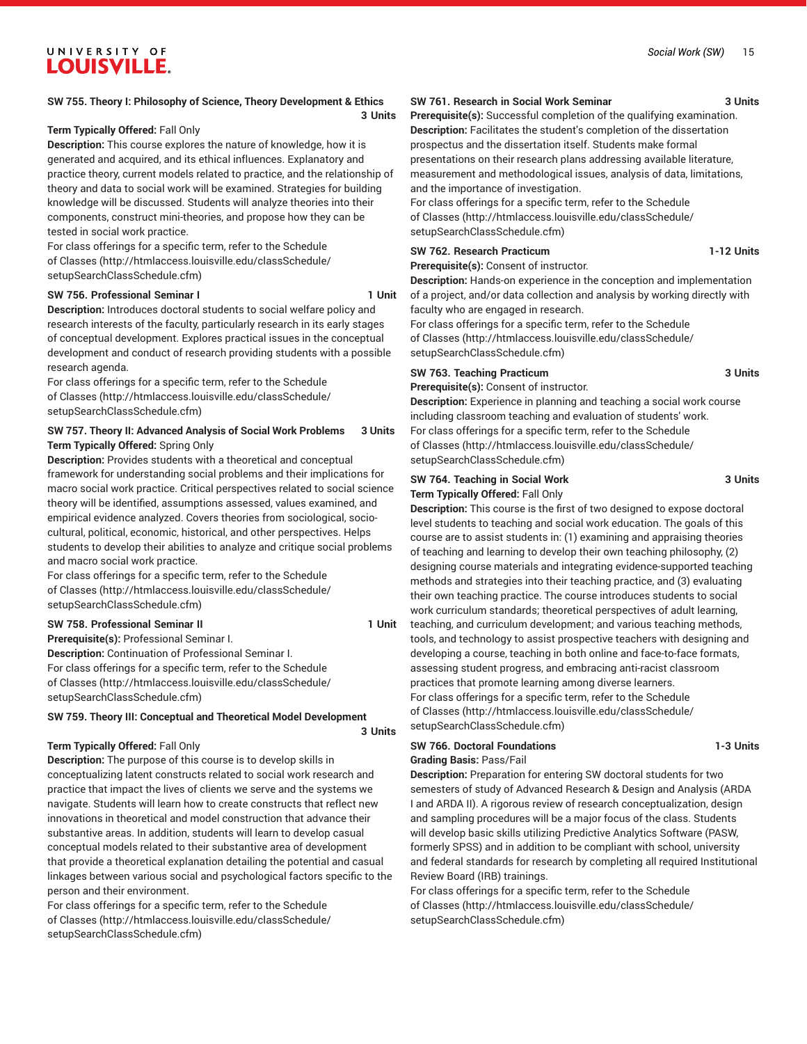## **SW 755. Theory I: Philosophy of Science, Theory Development & Ethics**

**3 Units**

## **Term Typically Offered:** Fall Only

**Description:** This course explores the nature of knowledge, how it is generated and acquired, and its ethical influences. Explanatory and practice theory, current models related to practice, and the relationship of theory and data to social work will be examined. Strategies for building knowledge will be discussed. Students will analyze theories into their components, construct mini-theories, and propose how they can be tested in social work practice.

For class offerings for a specific term, refer to the [Schedule](http://htmlaccess.louisville.edu/classSchedule/setupSearchClassSchedule.cfm) [of Classes \(http://htmlaccess.louisville.edu/classSchedule/](http://htmlaccess.louisville.edu/classSchedule/setupSearchClassSchedule.cfm) [setupSearchClassSchedule.cfm\)](http://htmlaccess.louisville.edu/classSchedule/setupSearchClassSchedule.cfm)

## **SW 756. Professional Seminar I 1 Unit**

**3 Units**

**Description:** Introduces doctoral students to social welfare policy and research interests of the faculty, particularly research in its early stages of conceptual development. Explores practical issues in the conceptual development and conduct of research providing students with a possible research agenda.

For class offerings for a specific term, refer to the [Schedule](http://htmlaccess.louisville.edu/classSchedule/setupSearchClassSchedule.cfm) [of Classes \(http://htmlaccess.louisville.edu/classSchedule/](http://htmlaccess.louisville.edu/classSchedule/setupSearchClassSchedule.cfm) [setupSearchClassSchedule.cfm\)](http://htmlaccess.louisville.edu/classSchedule/setupSearchClassSchedule.cfm)

## **SW 757. Theory II: Advanced Analysis of Social Work Problems 3 Units Term Typically Offered:** Spring Only

**Description:** Provides students with a theoretical and conceptual framework for understanding social problems and their implications for macro social work practice. Critical perspectives related to social science theory will be identified, assumptions assessed, values examined, and empirical evidence analyzed. Covers theories from sociological, sociocultural, political, economic, historical, and other perspectives. Helps students to develop their abilities to analyze and critique social problems and macro social work practice.

For class offerings for a specific term, refer to the [Schedule](http://htmlaccess.louisville.edu/classSchedule/setupSearchClassSchedule.cfm) [of Classes \(http://htmlaccess.louisville.edu/classSchedule/](http://htmlaccess.louisville.edu/classSchedule/setupSearchClassSchedule.cfm) [setupSearchClassSchedule.cfm\)](http://htmlaccess.louisville.edu/classSchedule/setupSearchClassSchedule.cfm)

## SW 758. Professional Seminar II **120 and 20 and 20 and 20 and 20 and 20 and 20 and 20 and 20 and 20 and 20 and 20 and 20 and 20 and 20 and 20 and 20 and 20 and 20 and 20 and 20 and 20 and 20 and 20 and 20 and 20 and 20 and**

**Prerequisite(s):** Professional Seminar I. **Description:** Continuation of Professional Seminar I. For class offerings for a specific term, refer to the [Schedule](http://htmlaccess.louisville.edu/classSchedule/setupSearchClassSchedule.cfm) [of Classes \(http://htmlaccess.louisville.edu/classSchedule/](http://htmlaccess.louisville.edu/classSchedule/setupSearchClassSchedule.cfm) [setupSearchClassSchedule.cfm\)](http://htmlaccess.louisville.edu/classSchedule/setupSearchClassSchedule.cfm)

## **SW 759. Theory III: Conceptual and Theoretical Model Development**

## **Term Typically Offered:** Fall Only

**Description:** The purpose of this course is to develop skills in conceptualizing latent constructs related to social work research and practice that impact the lives of clients we serve and the systems we navigate. Students will learn how to create constructs that reflect new innovations in theoretical and model construction that advance their substantive areas. In addition, students will learn to develop casual conceptual models related to their substantive area of development that provide a theoretical explanation detailing the potential and casual linkages between various social and psychological factors specific to the person and their environment.

For class offerings for a specific term, refer to the [Schedule](http://htmlaccess.louisville.edu/classSchedule/setupSearchClassSchedule.cfm) [of Classes \(http://htmlaccess.louisville.edu/classSchedule/](http://htmlaccess.louisville.edu/classSchedule/setupSearchClassSchedule.cfm) [setupSearchClassSchedule.cfm\)](http://htmlaccess.louisville.edu/classSchedule/setupSearchClassSchedule.cfm)

## **SW 761. Research in Social Work Seminar 3 Units**

**Prerequisite(s):** Successful completion of the qualifying examination. **Description:** Facilitates the student's completion of the dissertation prospectus and the dissertation itself. Students make formal presentations on their research plans addressing available literature, measurement and methodological issues, analysis of data, limitations, and the importance of investigation.

For class offerings for a specific term, refer to the [Schedule](http://htmlaccess.louisville.edu/classSchedule/setupSearchClassSchedule.cfm) [of Classes](http://htmlaccess.louisville.edu/classSchedule/setupSearchClassSchedule.cfm) ([http://htmlaccess.louisville.edu/classSchedule/](http://htmlaccess.louisville.edu/classSchedule/setupSearchClassSchedule.cfm) [setupSearchClassSchedule.cfm\)](http://htmlaccess.louisville.edu/classSchedule/setupSearchClassSchedule.cfm)

### **SW 762. Research Practicum 1-12 Units Prerequisite(s):** Consent of instructor.

**Description:** Hands-on experience in the conception and implementation of a project, and/or data collection and analysis by working directly with

faculty who are engaged in research.

For class offerings for a specific term, refer to the [Schedule](http://htmlaccess.louisville.edu/classSchedule/setupSearchClassSchedule.cfm) [of Classes](http://htmlaccess.louisville.edu/classSchedule/setupSearchClassSchedule.cfm) ([http://htmlaccess.louisville.edu/classSchedule/](http://htmlaccess.louisville.edu/classSchedule/setupSearchClassSchedule.cfm) [setupSearchClassSchedule.cfm\)](http://htmlaccess.louisville.edu/classSchedule/setupSearchClassSchedule.cfm)

## **SW 763. Teaching Practicum 3 Units**

**Prerequisite(s):** Consent of instructor.

**Description:** Experience in planning and teaching a social work course including classroom teaching and evaluation of students' work. For class offerings for a specific term, refer to the [Schedule](http://htmlaccess.louisville.edu/classSchedule/setupSearchClassSchedule.cfm) [of Classes](http://htmlaccess.louisville.edu/classSchedule/setupSearchClassSchedule.cfm) ([http://htmlaccess.louisville.edu/classSchedule/](http://htmlaccess.louisville.edu/classSchedule/setupSearchClassSchedule.cfm) [setupSearchClassSchedule.cfm\)](http://htmlaccess.louisville.edu/classSchedule/setupSearchClassSchedule.cfm)

## **SW 764. Teaching in Social Work 3 Units Term Typically Offered:** Fall Only

**Description:** This course is the first of two designed to expose doctoral level students to teaching and social work education. The goals of this course are to assist students in: (1) examining and appraising theories of teaching and learning to develop their own teaching philosophy, (2) designing course materials and integrating evidence-supported teaching methods and strategies into their teaching practice, and (3) evaluating their own teaching practice. The course introduces students to social work curriculum standards; theoretical perspectives of adult learning, teaching, and curriculum development; and various teaching methods, tools, and technology to assist prospective teachers with designing and developing a course, teaching in both online and face-to-face formats, assessing student progress, and embracing anti-racist classroom practices that promote learning among diverse learners. For class offerings for a specific term, refer to the [Schedule](http://htmlaccess.louisville.edu/classSchedule/setupSearchClassSchedule.cfm) [of Classes](http://htmlaccess.louisville.edu/classSchedule/setupSearchClassSchedule.cfm) ([http://htmlaccess.louisville.edu/classSchedule/](http://htmlaccess.louisville.edu/classSchedule/setupSearchClassSchedule.cfm) [setupSearchClassSchedule.cfm\)](http://htmlaccess.louisville.edu/classSchedule/setupSearchClassSchedule.cfm)

## **SW 766. Doctoral Foundations 1-3 Units**

**Grading Basis:** Pass/Fail

**Description:** Preparation for entering SW doctoral students for two semesters of study of Advanced Research & Design and Analysis (ARDA I and ARDA II). A rigorous review of research conceptualization, design and sampling procedures will be a major focus of the class. Students will develop basic skills utilizing Predictive Analytics Software (PASW, formerly SPSS) and in addition to be compliant with school, university and federal standards for research by completing all required Institutional Review Board (IRB) trainings.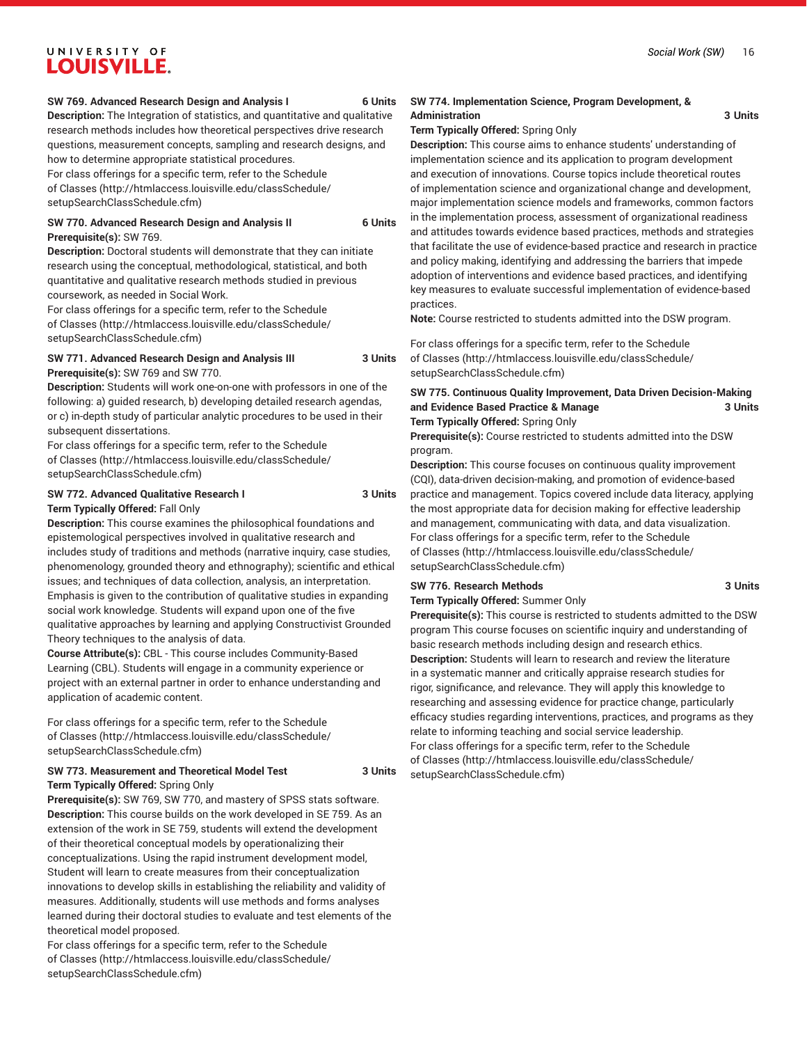### **SW 769. Advanced Research Design and Analysis I 6 Units**

**Description:** The Integration of statistics, and quantitative and qualitative research methods includes how theoretical perspectives drive research questions, measurement concepts, sampling and research designs, and how to determine appropriate statistical procedures.

For class offerings for a specific term, refer to the [Schedule](http://htmlaccess.louisville.edu/classSchedule/setupSearchClassSchedule.cfm) [of Classes \(http://htmlaccess.louisville.edu/classSchedule/](http://htmlaccess.louisville.edu/classSchedule/setupSearchClassSchedule.cfm) [setupSearchClassSchedule.cfm\)](http://htmlaccess.louisville.edu/classSchedule/setupSearchClassSchedule.cfm)

## **SW 770. Advanced Research Design and Analysis II 6 Units Prerequisite(s):** SW 769.

**Description:** Doctoral students will demonstrate that they can initiate research using the conceptual, methodological, statistical, and both quantitative and qualitative research methods studied in previous coursework, as needed in Social Work.

For class offerings for a specific term, refer to the [Schedule](http://htmlaccess.louisville.edu/classSchedule/setupSearchClassSchedule.cfm) [of Classes \(http://htmlaccess.louisville.edu/classSchedule/](http://htmlaccess.louisville.edu/classSchedule/setupSearchClassSchedule.cfm) [setupSearchClassSchedule.cfm\)](http://htmlaccess.louisville.edu/classSchedule/setupSearchClassSchedule.cfm)

#### **SW 771. Advanced Research Design and Analysis III 3 Units Prerequisite(s):** SW 769 and SW 770.

**Description:** Students will work one-on-one with professors in one of the following: a) guided research, b) developing detailed research agendas, or c) in-depth study of particular analytic procedures to be used in their subsequent dissertations.

For class offerings for a specific term, refer to the [Schedule](http://htmlaccess.louisville.edu/classSchedule/setupSearchClassSchedule.cfm) [of Classes \(http://htmlaccess.louisville.edu/classSchedule/](http://htmlaccess.louisville.edu/classSchedule/setupSearchClassSchedule.cfm) [setupSearchClassSchedule.cfm\)](http://htmlaccess.louisville.edu/classSchedule/setupSearchClassSchedule.cfm)

## **SW 772. Advanced Qualitative Research I 3 Units Term Typically Offered:** Fall Only

**Description:** This course examines the philosophical foundations and epistemological perspectives involved in qualitative research and includes study of traditions and methods (narrative inquiry, case studies, phenomenology, grounded theory and ethnography); scientific and ethical issues; and techniques of data collection, analysis, an interpretation. Emphasis is given to the contribution of qualitative studies in expanding social work knowledge. Students will expand upon one of the five qualitative approaches by learning and applying Constructivist Grounded Theory techniques to the analysis of data.

**Course Attribute(s):** CBL - This course includes Community-Based Learning (CBL). Students will engage in a community experience or project with an external partner in order to enhance understanding and application of academic content.

For class offerings for a specific term, refer to the [Schedule](http://htmlaccess.louisville.edu/classSchedule/setupSearchClassSchedule.cfm) [of Classes \(http://htmlaccess.louisville.edu/classSchedule/](http://htmlaccess.louisville.edu/classSchedule/setupSearchClassSchedule.cfm) [setupSearchClassSchedule.cfm\)](http://htmlaccess.louisville.edu/classSchedule/setupSearchClassSchedule.cfm)

## **SW 773. Measurement and Theoretical Model Test 3 Units Term Typically Offered:** Spring Only

**Prerequisite(s):** SW 769, SW 770, and mastery of SPSS stats software. **Description:** This course builds on the work developed in SE 759. As an extension of the work in SE 759, students will extend the development of their theoretical conceptual models by operationalizing their conceptualizations. Using the rapid instrument development model, Student will learn to create measures from their conceptualization innovations to develop skills in establishing the reliability and validity of measures. Additionally, students will use methods and forms analyses learned during their doctoral studies to evaluate and test elements of the theoretical model proposed.

For class offerings for a specific term, refer to the [Schedule](http://htmlaccess.louisville.edu/classSchedule/setupSearchClassSchedule.cfm) [of Classes \(http://htmlaccess.louisville.edu/classSchedule/](http://htmlaccess.louisville.edu/classSchedule/setupSearchClassSchedule.cfm) [setupSearchClassSchedule.cfm\)](http://htmlaccess.louisville.edu/classSchedule/setupSearchClassSchedule.cfm)

## **SW 774. Implementation Science, Program Development, & Administration 3 Units**

## **Term Typically Offered:** Spring Only

**Description:** This course aims to enhance students' understanding of implementation science and its application to program development and execution of innovations. Course topics include theoretical routes of implementation science and organizational change and development, major implementation science models and frameworks, common factors in the implementation process, assessment of organizational readiness and attitudes towards evidence based practices, methods and strategies that facilitate the use of evidence-based practice and research in practice and policy making, identifying and addressing the barriers that impede adoption of interventions and evidence based practices, and identifying key measures to evaluate successful implementation of evidence-based practices.

**Note:** Course restricted to students admitted into the DSW program.

For class offerings for a specific term, refer to the [Schedule](http://htmlaccess.louisville.edu/classSchedule/setupSearchClassSchedule.cfm) [of Classes](http://htmlaccess.louisville.edu/classSchedule/setupSearchClassSchedule.cfm) ([http://htmlaccess.louisville.edu/classSchedule/](http://htmlaccess.louisville.edu/classSchedule/setupSearchClassSchedule.cfm) [setupSearchClassSchedule.cfm\)](http://htmlaccess.louisville.edu/classSchedule/setupSearchClassSchedule.cfm)

## **SW 775. Continuous Quality Improvement, Data Driven Decision-Making and Evidence Based Practice & Manage 3 Units Term Typically Offered:** Spring Only

**Prerequisite(s):** Course restricted to students admitted into the DSW program.

**Description:** This course focuses on continuous quality improvement (CQI), data-driven decision-making, and promotion of evidence-based practice and management. Topics covered include data literacy, applying the most appropriate data for decision making for effective leadership and management, communicating with data, and data visualization. For class offerings for a specific term, refer to the [Schedule](http://htmlaccess.louisville.edu/classSchedule/setupSearchClassSchedule.cfm) [of Classes](http://htmlaccess.louisville.edu/classSchedule/setupSearchClassSchedule.cfm) ([http://htmlaccess.louisville.edu/classSchedule/](http://htmlaccess.louisville.edu/classSchedule/setupSearchClassSchedule.cfm) [setupSearchClassSchedule.cfm\)](http://htmlaccess.louisville.edu/classSchedule/setupSearchClassSchedule.cfm)

## **SW 776. Research Methods 3 Units**

**Term Typically Offered:** Summer Only

**Prerequisite(s):** This course is restricted to students admitted to the DSW program This course focuses on scientific inquiry and understanding of basic research methods including design and research ethics. **Description:** Students will learn to research and review the literature in a systematic manner and critically appraise research studies for rigor, significance, and relevance. They will apply this knowledge to researching and assessing evidence for practice change, particularly efficacy studies regarding interventions, practices, and programs as they relate to informing teaching and social service leadership. For class offerings for a specific term, refer to the [Schedule](http://htmlaccess.louisville.edu/classSchedule/setupSearchClassSchedule.cfm) [of Classes](http://htmlaccess.louisville.edu/classSchedule/setupSearchClassSchedule.cfm) ([http://htmlaccess.louisville.edu/classSchedule/](http://htmlaccess.louisville.edu/classSchedule/setupSearchClassSchedule.cfm) [setupSearchClassSchedule.cfm\)](http://htmlaccess.louisville.edu/classSchedule/setupSearchClassSchedule.cfm)